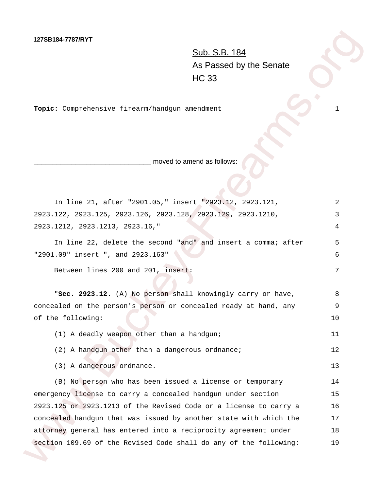| 127SB184-7787/RYT                                                 |    |
|-------------------------------------------------------------------|----|
| Sub. S.B. 184                                                     |    |
| As Passed by the Senate                                           |    |
| <b>HC 33</b>                                                      |    |
| Topic: Comprehensive firearm/handgun amendment                    | 1  |
| moved to amend as follows:                                        |    |
| In line 21, after "2901.05," insert "2923.12, 2923.121,           | 2  |
| 2923.122, 2923.125, 2923.126, 2923.128, 2923.129, 2923.1210,      | 3  |
| 2923.1212, 2923.1213, 2923.16,"                                   | 4  |
| In line 22, delete the second "and" and insert a comma; after     | 5  |
| "2901.09" insert ", and 2923.163"                                 | 6  |
| Between lines 200 and 201, insert:                                | 7  |
| "Sec. 2923.12. (A) No person shall knowingly carry or have,       | 8  |
| concealed on the person's person or concealed ready at hand, any  | 9  |
| of the following:                                                 | 10 |
| (1) A deadly weapon other than a handgun;                         | 11 |
| (2) A handgun other than a dangerous ordnance;                    | 12 |
| (3) A dangerous ordnance.                                         | 13 |
| (B) No person who has been issued a license or temporary          | 14 |
| emergency license to carry a concealed handgun under section      | 15 |
| 2923.125 or 2923.1213 of the Revised Code or a license to carry a | 16 |
| concealed handgun that was issued by another state with which the | 17 |
| attorney general has entered into a reciprocity agreement under   | 18 |
| section 109.69 of the Revised Code shall do any of the following: | 19 |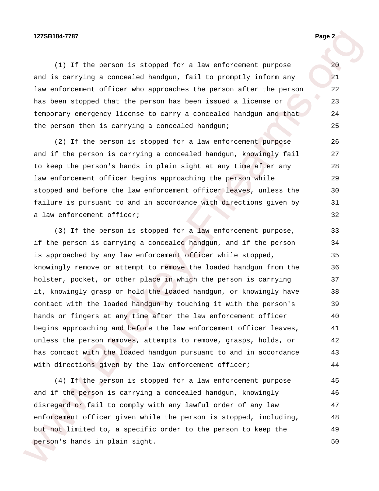(1) If the person is stopped for a law enforcement purpose and is carrying a concealed handgun, fail to promptly inform any law enforcement officer who approaches the person after the person has been stopped that the person has been issued a license or temporary emergency license to carry a concealed handgun and that the person then is carrying a concealed handgun;

(2) If the person is stopped for a law enforcement purpose and if the person is carrying a concealed handgun, knowingly fail to keep the person's hands in plain sight at any time after any law enforcement officer begins approaching the person while stopped and before the law enforcement officer leaves, unless the failure is pursuant to and in accordance with directions given by a law enforcement officer;

(3) If the person is stopped for a law enforcement purpose, if the person is carrying a concealed handgun, and if the person is approached by any law enforcement officer while stopped, knowingly remove or attempt to remove the loaded handgun from the holster, pocket, or other place in which the person is carrying it, knowingly grasp or hold the loaded handgun, or knowingly have contact with the loaded handgun by touching it with the person's hands or fingers at any time after the law enforcement officer begins approaching and before the law enforcement officer leaves, unless the person removes, attempts to remove, grasps, holds, or has contact with the loaded handgun pursuant to and in accordance with directions given by the law enforcement officer; **Page 1275811447797**<br>
(1) If the person is atappend for a low entroponently purpose<br>
(1) If the person is atappend for a low entroponently purpose<br>
(a) at entroponent of these whose approaches the person atter the person

(4) If the person is stopped for a law enforcement purpose and if the person is carrying a concealed handgun, knowingly disregard or fail to comply with any lawful order of any law enforcement officer given while the person is stopped, including, but not limited to, a specific order to the person to keep the person's hands in plain sight. 45 46 47 48 49 50

25

30 31 32

33 34 35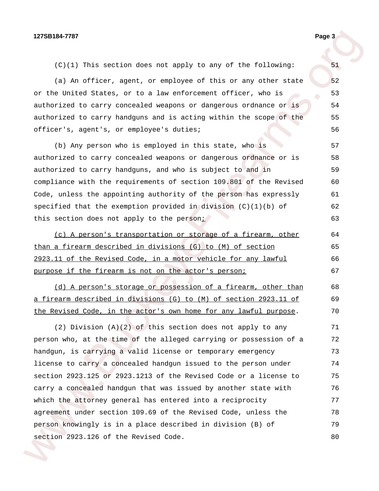$(C)(1)$  This section does not apply to any of the following:  $51$ 

(a) An officer, agent, or employee of this or any other state or the United States, or to a law enforcement officer, who is authorized to carry concealed weapons or dangerous ordnance or is authorized to carry handguns and is acting within the scope of the officer's, agent's, or employee's duties;

(b) Any person who is employed in this state, who is authorized to carry concealed weapons or dangerous ordnance or is authorized to carry handguns, and who is subject to and in compliance with the requirements of section 109.801 of the Revised Code, unless the appointing authority of the person has expressly specified that the exemption provided in division  $(C)(1)(b)$  of this section does not apply to the person;

(c) A person's transportation or storage of a firearm, other than a firearm described in divisions (G) to (M) of section 2923.11 of the Revised Code, in a motor vehicle for any lawful purpose if the firearm is not on the actor's person;

(d) A person's storage or possession of a firearm, other than a firearm described in divisions (G) to (M) of section 2923.11 of the Revised Code, in the actor's own home for any lawful purpose. 68 69 70

(2) Division (A)(2) of this section does not apply to any person who, at the time of the alleged carrying or possession of a handgun, is carrying a valid license or temporary emergency license to carry a concealed handgun issued to the person under section 2923.125 or 2923.1213 of the Revised Code or a license to carry a concealed handgun that was issued by another state with which the attorney general has entered into a reciprocity agreement under section 109.69 of the Revised Code, unless the person knowingly is in a place described in division (B) of section 2923.126 of the Revised Code. 71 72 73 74 75 76 77 78 79 80 **Pages 127581144779**<br>
(c) (1) This accrition does not apply to any of the following:<br>
(a) An officer, agent, or employee of this or any other state<br>
(a) An officer, agent, or employee of this or any other state<br>
or the Th

54 55

56

58 59 60

61 62 63

64 65 66

67

52 53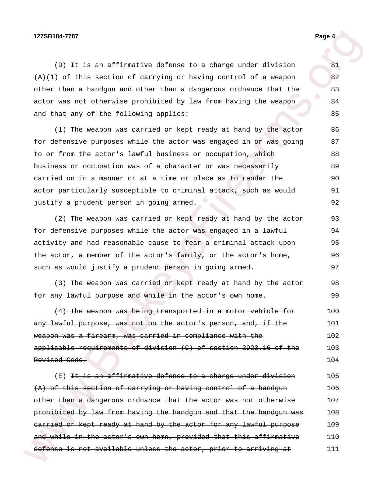(D) It is an affirmative defense to a charge under division (A)(1) of this section of carrying or having control of a weapon other than a handgun and other than a dangerous ordnance that the actor was not otherwise prohibited by law from having the weapon and that any of the following applies:

(1) The weapon was carried or kept ready at hand by the actor for defensive purposes while the actor was engaged in or was going to or from the actor's lawful business or occupation, which business or occupation was of a character or was necessarily carried on in a manner or at a time or place as to render the actor particularly susceptible to criminal attack, such as would justify a prudent person in going armed. 86 87 88 89 90 91 92

(2) The weapon was carried or kept ready at hand by the actor for defensive purposes while the actor was engaged in a lawful activity and had reasonable cause to fear a criminal attack upon the actor, a member of the actor's family, or the actor's home, such as would justify a prudent person in going armed. 93 94 95 96 97

(3) The weapon was carried or kept ready at hand by the actor for any lawful purpose and while in the actor's own home. 98 99

(4) The weapon was being transported in a motor vehicle for any lawful purpose, was not on the actor's person, and, if the weapon was a firearm, was carried in compliance with the applicable requirements of division (C) of section 2923.16 of the Revised Code. 100 101 102 103 104

(E) It is an affirmative defense to a charge under division (A) of this section of carrying or having control of a handgun other than a dangerous ordnance that the actor was not otherwise prohibited by law from having the handgun and that the handgun was carried or kept ready at hand by the actor for any lawful purpose and while in the actor's own home, provided that this affirmative defense is not available unless the actor, prior to arriving at 105 106 107 108 109 110 111 **Page 127581547797**<br>
(7) To is a particularize operator to a change under driving<br>
(8) To is a change and other them a damaged compare control of a weapon.<br>
contex than a handge and other them a damaged compare compare is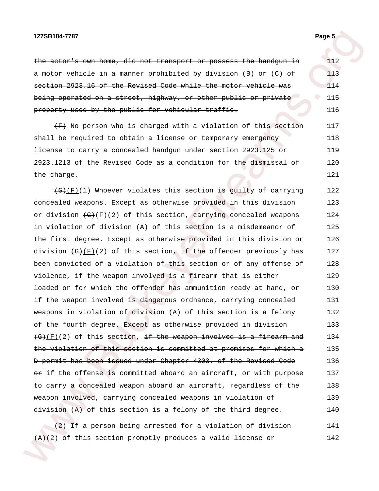the actor's own home, did not transport or possess the handgun in a motor vehicle in a manner prohibited by division (B) or (C) of section 2923.16 of the Revised Code while the motor vehicle was being operated on a street, highway, or other public or private property used by the public for vehicular traffic. 112 113 114 115 116

 $(F)$  No person who is charged with a violation of this section shall be required to obtain a license or temporary emergency license to carry a concealed handgun under section 2923.125 or 2923.1213 of the Revised Code as a condition for the dismissal of the charge. 117 118 119 120 121

 $\overline{(G)(F)(1)}$  Whoever violates this section is guilty of carrying concealed weapons. Except as otherwise provided in this division or division  $\overline{(G)(F)(2)}$  of this section, carrying concealed weapons in violation of division (A) of this section is a misdemeanor of the first degree. Except as otherwise provided in this division or division  $\left(\frac{G}{F}(2)\right)$  of this section, if the offender previously has been convicted of a violation of this section or of any offense of violence, if the weapon involved is a firearm that is either loaded or for which the offender has ammunition ready at hand, or if the weapon involved is dangerous ordnance, carrying concealed weapons in violation of division (A) of this section is a felony of the fourth degree. Except as otherwise provided in division  $(\theta)(F)(2)$  of this section, if the weapon involved is a firearm and the violation of this section is committed at premises for which a D permit has been issued under Chapter 4303. of the Revised Code or if the offense is committed aboard an aircraft, or with purpose to carry a concealed weapon aboard an aircraft, regardless of the weapon involved, carrying concealed weapons in violation of division (A) of this section is a felony of the third degree. 122 123 124 125 126 127 128 129 130 131 132 133 134 135 136 137 138 139 140 127881647787<br>
We content our tensor of the learning point of the content of the content of the content of the content of the content of the content of the content of the content of the content of the content of the conten

(2) If a person being arrested for a violation of division (A)(2) of this section promptly produces a valid license or 141 142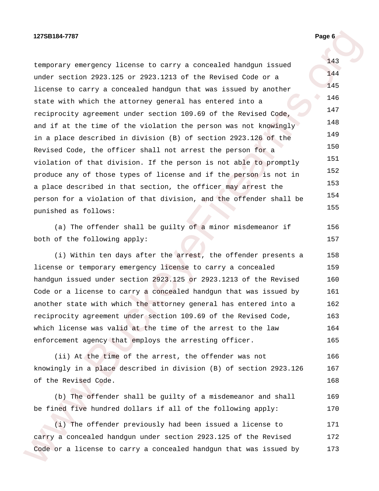temporary emergency license to carry a concealed handgun issued under section 2923.125 or 2923.1213 of the Revised Code or a license to carry a concealed handgun that was issued by another state with which the attorney general has entered into a reciprocity agreement under section 109.69 of the Revised Code, and if at the time of the violation the person was not knowingly in a place described in division (B) of section 2923.126 of the Revised Code, the officer shall not arrest the person for a violation of that division. If the person is not able to promptly produce any of those types of license and if the person is not in a place described in that section, the officer may arrest the person for a violation of that division, and the offender shall be punished as follows: 143 144 145 146 147 148 149 150 151 152 153 154 155 **Page 173511347787**<br>
Weight componentry identic to carry a concealed hunder thanced 1847<br>
under section 2023.1383 or 2023.1231 or the Revised Coverage Coverage Coverage Coverage 1848<br>
16478 and the stress or and a stress

(a) The offender shall be guilty of a minor misdemeanor if both of the following apply: 156 157

(i) Within ten days after the arrest, the offender presents a license or temporary emergency license to carry a concealed handgun issued under section 2923.125 or 2923.1213 of the Revised Code or a license to carry a concealed handgun that was issued by another state with which the attorney general has entered into a reciprocity agreement under section 109.69 of the Revised Code, which license was valid at the time of the arrest to the law enforcement agency that employs the arresting officer. 158 159 160 161 162 163 164 165

(ii) At the time of the arrest, the offender was not knowingly in a place described in division (B) of section 2923.126 of the Revised Code. 166 167 168

(b) The offender shall be guilty of a misdemeanor and shall be fined five hundred dollars if all of the following apply: 169 170

(i) The offender previously had been issued a license to carry a concealed handgun under section 2923.125 of the Revised Code or a license to carry a concealed handgun that was issued by 171 172 173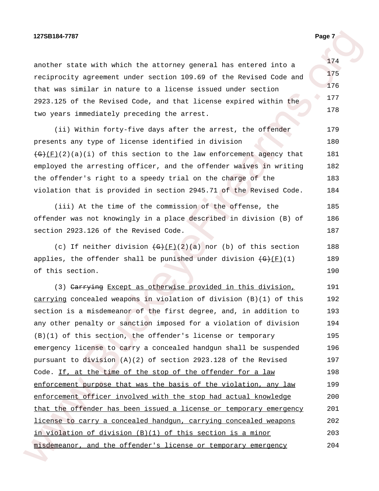another state with which the attorney general has entered into a reciprocity agreement under section 109.69 of the Revised Code and that was similar in nature to a license issued under section 2923.125 of the Revised Code, and that license expired within the two years immediately preceding the arrest.

(ii) Within forty-five days after the arrest, the offender presents any type of license identified in division  $(\theta + \theta)$ (F)(2)(a)(i) of this section to the law enforcement agency that employed the arresting officer, and the offender waives in writing the offender's right to a speedy trial on the charge of the violation that is provided in section 2945.71 of the Revised Code. 179 180 181 182 183 184

(iii) At the time of the commission of the offense, the offender was not knowingly in a place described in division (B) of section 2923.126 of the Revised Code. 185 186 187

(c) If neither division  $\left(\frac{G}{F}\right)(2)(a)$  nor (b) of this section applies, the offender shall be punished under division  $\overline{(\mathsf{G}^{\perp}(\mathsf{F})(1))}$ of this section. 188 189 190

(3) Carrying Except as otherwise provided in this division, carrying concealed weapons in violation of division (B)(1) of this section is a misdemeanor of the first degree, and, in addition to any other penalty or sanction imposed for a violation of division (B)(1) of this section, the offender's license or temporary emergency license to carry a concealed handgun shall be suspended pursuant to division (A)(2) of section 2923.128 of the Revised Code. If, at the time of the stop of the offender for a law enforcement purpose that was the basis of the violation, any law enforcement officer involved with the stop had actual knowledge that the offender has been issued a license or temporary emergency license to carry a concealed handgun, carrying concealed weapons in violation of division (B)(1) of this section is a minor misdemeanor, and the offender's license or temporary emergency 191 192 193 194 195 196 197 198 199 200 201 202 203 204 **Page 747787**<br> **Page 7**<br> **Page 7**<br> **Page 7**<br> **Page 7**<br> **Page 7**<br> **Page 7**<br> **Page 7**<br> **Page 7**<br> **Context general context asset of the first of the field Code and<br>
<b>Page 7**<br> **Code 8**<br> **Code 8**<br> **Page 2** intervals Code, and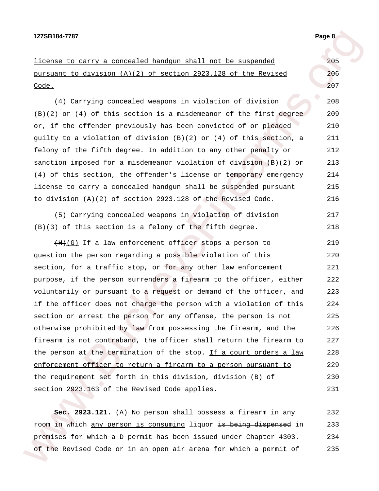| 127SB184-7787                                                          | Page 8 |
|------------------------------------------------------------------------|--------|
| license to carry a concealed handqun shall not be suspended            | 205    |
| pursuant to division (A)(2) of section 2923.128 of the Revised         | 206    |
| Code.                                                                  | 207    |
| (4) Carrying concealed weapons in violation of division                | 208    |
| $(B)(2)$ or $(4)$ of this section is a misdemeanor of the first degree | 209    |
| or, if the offender previously has been convicted of or pleaded        | 210    |
| guilty to a violation of division $(B)(2)$ or $(4)$ of this section, a | 211    |
| felony of the fifth degree. In addition to any other penalty or        | 212    |
| sanction imposed for a misdemeanor violation of division $(B)(2)$ or   | 213    |
| (4) of this section, the offender's license or temporary emergency     | 214    |
| license to carry a concealed handgun shall be suspended pursuant       | 215    |
| to division $(A)(2)$ of section 2923.128 of the Revised Code.          | 216    |
| (5) Carrying concealed weapons in violation of division                | 217    |
| $(B)(3)$ of this section is a felony of the fifth degree.              | 218    |
| $(H)$ (G) If a law enforcement officer stops a person to               | 219    |
| question the person regarding a possible violation of this             | 220    |
| section, for a traffic stop, or for any other law enforcement          | 221    |
| purpose, if the person surrenders a firearm to the officer, either     | 222    |
| voluntarily or pursuant to a request or demand of the officer, and     | 223    |
| if the officer does not charge the person with a violation of this     | 224    |
| section or arrest the person for any offense, the person is not        | 225    |
| otherwise prohibited by law from possessing the firearm, and the       | 226    |
| firearm is not contraband, the officer shall return the firearm to     | 227    |
| the person at the termination of the stop. If a court orders a law     | 228    |
| enforcement officer to return a firearm to a person pursuant to        | 229    |
| the requirement set forth in this division, division (B) of            | 230    |
| section 2923.163 of the Revised Code applies.                          | 231    |
| Sec. 2923.121. (A) No person shall possess a firearm in any            | 232    |
| room in which any person is consuming liquor is being dispensed in     | 233    |
| premises for which a D permit has been issued under Chapter 4303.      | 234    |
| of the Revised Code or in an open air arena for which a permit of      | 235    |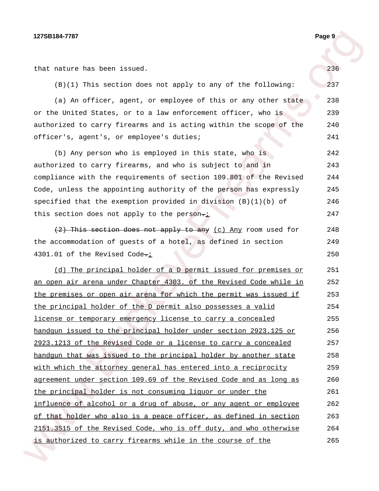that nature has been issued. 236 (B)(1) This section does not apply to any of the following: 237 (a) An officer, agent, or employee of this or any other state or the United States, or to a law enforcement officer, who is authorized to carry firearms and is acting within the scope of the officer's, agent's, or employee's duties; 238 239 240 241 (b) Any person who is employed in this state, who is authorized to carry firearms, and who is subject to and in compliance with the requirements of section 109.801 of the Revised Code, unless the appointing authority of the person has expressly specified that the exemption provided in division  $(B)(1)(b)$  of this section does not apply to the person- $i$ 242 243 244 245 246 247 (2) This section does not apply to any (c) Any room used for the accommodation of guests of a hotel, as defined in section  $4301.01$  of the Revised Code-; 248 249 250 (d) The principal holder of a D permit issued for premises or an open air arena under Chapter 4303. of the Revised Code while in the premises or open air arena for which the permit was issued if the principal holder of the D permit also possesses a valid license or temporary emergency license to carry a concealed handgun issued to the principal holder under section 2923.125 or 2923.1213 of the Revised Code or a license to carry a concealed handgun that was issued to the principal holder by another state with which the attorney general has entered into a reciprocity agreement under section 109.69 of the Revised Code and as long as the principal holder is not consuming liquor or under the influence of alcohol or a drug of abuse, or any agent or employee of that holder who also is a peace officer, as defined in section 2151.3515 of the Revised Code, who is off duty, and who otherwise is authorized to carry firearms while in the course of the 251 252 253 254 255 256 257 258 259 260 261 262 263 264 265 **197861147787**<br>
Then motive has been financial.<br>
Then motives have financial.<br>
(5)(1) This acction does not apply to any of the following)<br>
(a) an afficient, agents, are employees of this or any other states<br>
content in t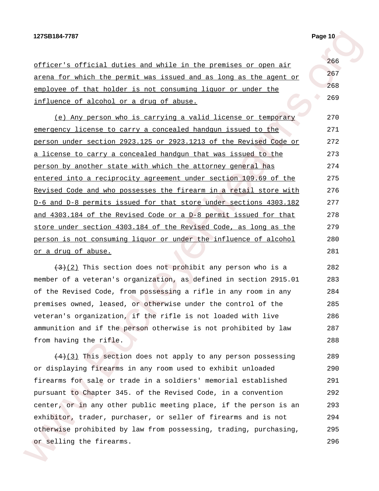| 127SB184-7787                                                     | Page 10 |
|-------------------------------------------------------------------|---------|
|                                                                   |         |
| officer's official duties and while in the premises or open air   | 266     |
| arena for which the permit was issued and as long as the agent or | 267     |
| employee of that holder is not consuming liquor or under the      | 268     |
| influence of alcohol or a drug of abuse.                          | 269     |
| (e) Any person who is carrying a valid license or temporary       | 270     |
| emergency license to carry a concealed handgun issued to the      | 271     |
| person under section 2923.125 or 2923.1213 of the Revised Code or | 272     |
| a license to carry a concealed handqun that was issued to the     | 273     |
| person by another state with which the attorney general has       | 274     |
| entered into a reciprocity agreement under section 109.69 of the  | 275     |
| Revised Code and who possesses the firearm in a retail store with | 276     |
| D-6 and D-8 permits issued for that store under sections 4303.182 | 277     |
| and 4303.184 of the Revised Code or a D-8 permit issued for that  | 278     |
| store under section 4303.184 of the Revised Code, as long as the  | 279     |
| person is not consuming liquor or under the influence of alcohol  | 280     |
| or a drug of abuse.                                               | 281     |
| $\frac{1}{2}$ This section does not prohibit any person who is a  | 282     |
| member of a veteran's organization, as defined in section 2915.01 | 283     |
| of the Revised Code, from possessing a rifle in any room in any   | 284     |
| premises owned, leased, or otherwise under the control of the     | 285     |
| veteran's organization, if the rifle is not loaded with live      | 286     |
| ammunition and if the person otherwise is not prohibited by law   | 287     |
| from having the rifle.                                            | 288     |
| $(4)(3)$ This section does not apply to any person possessing     | 289     |
| or displaying firearms in any room used to exhibit unloaded       | 290     |
| firearms for sale or trade in a soldiers' memorial established    | 291     |
| pursuant to Chapter 345. of the Revised Code, in a convention     | 292     |
| center, or in any other public meeting place, if the person is an | 293     |
| exhibitor, trader, purchaser, or seller of firearms and is not    | 294     |
| otherwise prohibited by law from possessing, trading, purchasing, | 295     |
| or selling the firearms.                                          | 296     |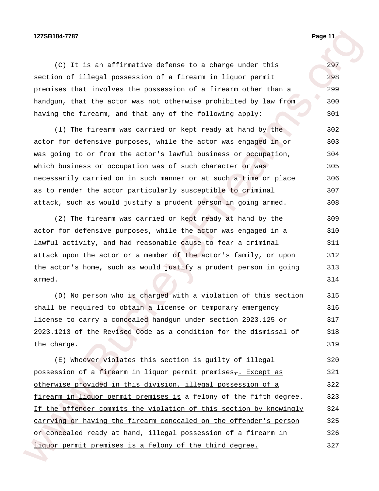(C) It is an affirmative defense to a charge under this section of illegal possession of a firearm in liquor permit premises that involves the possession of a firearm other than a handgun, that the actor was not otherwise prohibited by law from having the firearm, and that any of the following apply:

(1) The firearm was carried or kept ready at hand by the actor for defensive purposes, while the actor was engaged in or was going to or from the actor's lawful business or occupation, which business or occupation was of such character or was necessarily carried on in such manner or at such a time or place as to render the actor particularly susceptible to criminal attack, such as would justify a prudent person in going armed. 302 303 304 305 306 307 308

(2) The firearm was carried or kept ready at hand by the actor for defensive purposes, while the actor was engaged in a lawful activity, and had reasonable cause to fear a criminal attack upon the actor or a member of the actor's family, or upon the actor's home, such as would justify a prudent person in going armed. 309 310 311 312 313 314

(D) No person who is charged with a violation of this section shall be required to obtain a license or temporary emergency license to carry a concealed handgun under section 2923.125 or 2923.1213 of the Revised Code as a condition for the dismissal of the charge. 315 316 317 318 319

(E) Whoever violates this section is guilty of illegal possession of a firearm in liquor permit premises<sub>7</sub>. Except as otherwise provided in this division, illegal possession of a firearm in liquor permit premises is a felony of the fifth degree. If the offender commits the violation of this section by knowingly carrying or having the firearm concealed on the offender's person or concealed ready at hand, illegal possession of a firearm in liquor permit premises is a felony of the third degree. 320 321 322 323 324 325 326 327 **127881947787**<br>
(c) It is an arrivarying operator to a change under this  $\frac{200}{20}$ <br>
precise that involves the possession of a filterar other than  $\frac{200}{20}$ <br>
handger, that the actor was not otherwise problems other t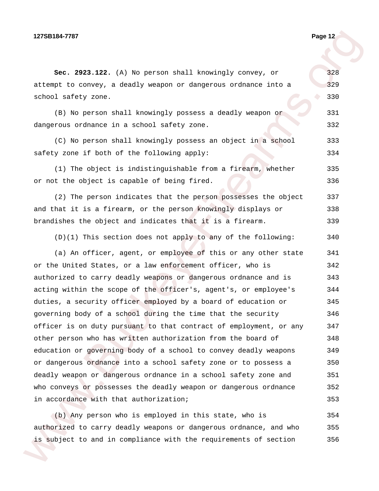| 127SB184-7787                                                      | Page 12 |
|--------------------------------------------------------------------|---------|
|                                                                    |         |
| Sec. 2923.122. (A) No person shall knowingly convey, or            | 328     |
| attempt to convey, a deadly weapon or dangerous ordnance into a    | 329     |
| school safety zone.                                                | 330     |
| (B) No person shall knowingly possess a deadly weapon or           | 331     |
| dangerous ordnance in a school safety zone.                        | 332     |
| (C) No person shall knowingly possess an object in a school        | 333     |
| safety zone if both of the following apply:                        | 334     |
| (1) The object is indistinguishable from a firearm, whether        | 335     |
| or not the object is capable of being fired.                       | 336     |
| (2) The person indicates that the person possesses the object      | 337     |
| and that it is a firearm, or the person knowingly displays or      | 338     |
| brandishes the object and indicates that it is a firearm.          | 339     |
| $(D)(1)$ This section does not apply to any of the following:      | 340     |
| (a) An officer, agent, or employee of this or any other state      | 341     |
| or the United States, or a law enforcement officer, who is         | 342     |
| authorized to carry deadly weapons or dangerous ordnance and is    | 343     |
| acting within the scope of the officer's, agent's, or employee's   | 344     |
| duties, a security officer employed by a board of education or     | 345     |
| governing body of a school during the time that the security       | 346     |
| officer is on duty pursuant to that contract of employment, or any | 347     |
| other person who has written authorization from the board of       | 348     |
| education or governing body of a school to convey deadly weapons   | 349     |
| or dangerous ordnance into a school safety zone or to possess a    | 350     |
| deadly weapon or dangerous ordnance in a school safety zone and    | 351     |
| who conveys or possesses the deadly weapon or dangerous ordnance   | 352     |
| in accordance with that authorization;                             | 353     |
| (b) Any person who is employed in this state, who is               | 354     |
| authorized to carry deadly weapons or dangerous ordnance, and who  | 355     |
| is subject to and in compliance with the requirements of section   | 356     |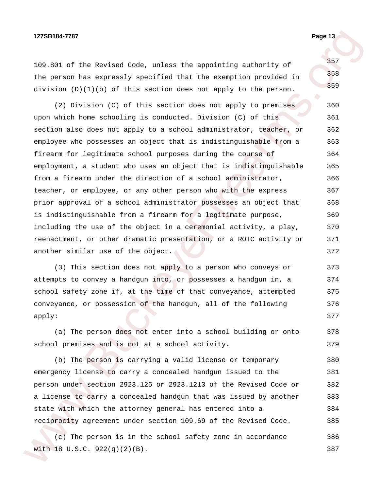109.801 of the Revised Code, unless the appointing authority of the person has expressly specified that the exemption provided in division  $(D)(1)(b)$  of this section does not apply to the person.

(2) Division (C) of this section does not apply to premises upon which home schooling is conducted. Division (C) of this section also does not apply to a school administrator, teacher, or employee who possesses an object that is indistinguishable from a firearm for legitimate school purposes during the course of employment, a student who uses an object that is indistinguishable from a firearm under the direction of a school administrator, teacher, or employee, or any other person who with the express prior approval of a school administrator possesses an object that is indistinguishable from a firearm for a legitimate purpose, including the use of the object in a ceremonial activity, a play, reenactment, or other dramatic presentation, or a ROTC activity or another similar use of the object. 360 361 362 363 364 365 366 367 368 369 370 371 372 **127881847787**<br> **PEGA 13**<br> **PEGA 13**<br> **EDE presence as corrests of the account of the tractional internal property of<br>
the presence as expressive presence as the except of the second<br>
division (D):11(c) of this associatio** 

(3) This section does not apply to a person who conveys or attempts to convey a handgun into, or possesses a handgun in, a school safety zone if, at the time of that conveyance, attempted conveyance, or possession of the handgun, all of the following apply: 373 374 375 376 377

(a) The person does not enter into a school building or onto school premises and is not at a school activity. 378 379

(b) The person is carrying a valid license or temporary emergency license to carry a concealed handgun issued to the person under section 2923.125 or 2923.1213 of the Revised Code or a license to carry a concealed handgun that was issued by another state with which the attorney general has entered into a reciprocity agreement under section 109.69 of the Revised Code. 380 381 382 383 384 385

(c) The person is in the school safety zone in accordance with 18 U.S.C. 922(q)(2)(B). 386 387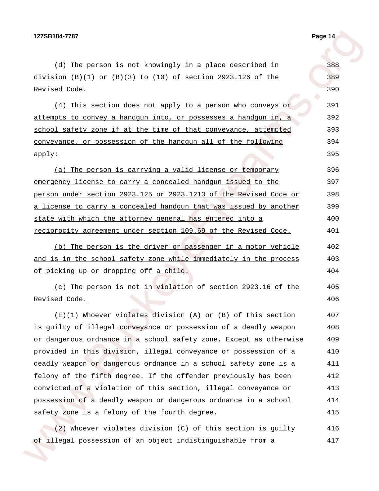388 389 390

391

392

393 394 395

(d) The person is not knowingly in a place described in division  $(B)(1)$  or  $(B)(3)$  to  $(10)$  of section 2923.126 of the Revised Code.

(4) This section does not apply to a person who conveys or attempts to convey a handgun into, or possesses a handgun in, a school safety zone if at the time of that conveyance, attempted conveyance, or possession of the handgun all of the following apply:

(a) The person is carrying a valid license or temporary emergency license to carry a concealed handgun issued to the person under section 2923.125 or 2923.1213 of the Revised Code or a license to carry a concealed handgun that was issued by another state with which the attorney general has entered into a reciprocity agreement under section 109.69 of the Revised Code. 396 397 398 399 400 401

(b) The person is the driver or passenger in a motor vehicle and is in the school safety zone while immediately in the process of picking up or dropping off a child. 402 403 404

(c) The person is not in violation of section 2923.16 of the Revised Code. 405 406

(E)(1) Whoever violates division (A) or (B) of this section is guilty of illegal conveyance or possession of a deadly weapon or dangerous ordnance in a school safety zone. Except as otherwise provided in this division, illegal conveyance or possession of a deadly weapon or dangerous ordnance in a school safety zone is a felony of the fifth degree. If the offender previously has been convicted of a violation of this section, illegal conveyance or possession of a deadly weapon or dangerous ordnance in a school safety zone is a felony of the fourth degree. 407 408 409 410 411 412 413 414 415 127861947797 Page 14<br>
(a) The payson is not knowingly in a place characterize in The United States (1911) to (1911) to (1911) to (1912) and other the Context of The Context of The Context of The Context of The Context of

(2) Whoever violates division (C) of this section is guilty of illegal possession of an object indistinguishable from a 416 417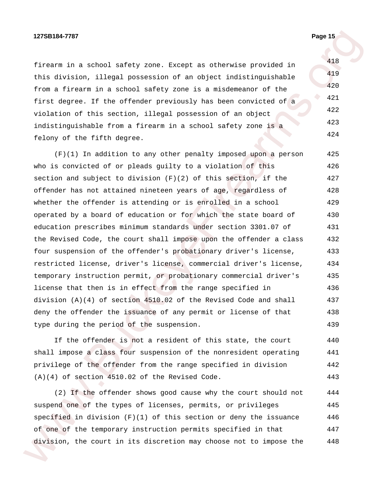firearm in a school safety zone. Except as otherwise provided in this division, illegal possession of an object indistinguishable from a firearm in a school safety zone is a misdemeanor of the first degree. If the offender previously has been convicted of a violation of this section, illegal possession of an object indistinguishable from a firearm in a school safety zone is a felony of the fifth degree.

(F)(1) In addition to any other penalty imposed upon a person who is convicted of or pleads guilty to a violation of this section and subject to division  $(F)(2)$  of this section, if the offender has not attained nineteen years of age, regardless of whether the offender is attending or is enrolled in a school operated by a board of education or for which the state board of education prescribes minimum standards under section 3301.07 of the Revised Code, the court shall impose upon the offender a class four suspension of the offender's probationary driver's license, restricted license, driver's license, commercial driver's license, temporary instruction permit, or probationary commercial driver's license that then is in effect from the range specified in division  $(A)(4)$  of section 4510.02 of the Revised Code and shall deny the offender the issuance of any permit or license of that type during the period of the suspension. 425 426 427 428 429 430 431 432 433 434 435 436 437 438 439 **1278811447787**<br> **PROP** 18<br> **PHoton in a achoal matrixy zero. Recept am arrowise provided to:<br>
This division, illeges, i.e. and by the strength of the strength of<br>
the transmitter of the strength of the strength of the st** 

If the offender is not a resident of this state, the court shall impose a class four suspension of the nonresident operating privilege of the offender from the range specified in division (A)(4) of section 4510.02 of the Revised Code. 440 441 442 443

(2) If the offender shows good cause why the court should not suspend one of the types of licenses, permits, or privileges specified in division  $(F)(1)$  of this section or deny the issuance of one of the temporary instruction permits specified in that division, the court in its discretion may choose not to impose the 444 445 446 447 448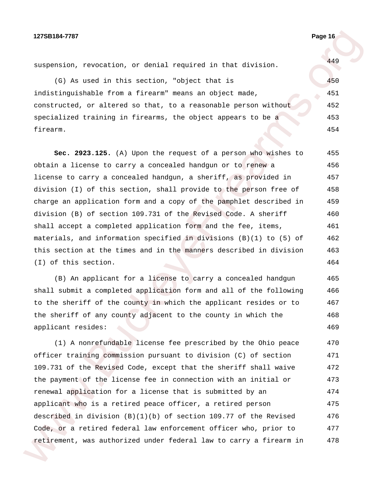suspension, revocation, or denial required in that division.

(G) As used in this section, "object that is indistinguishable from a firearm" means an object made, constructed, or altered so that, to a reasonable person without specialized training in firearms, the object appears to be a firearm. 450 451 452 453 454

**Sec. 2923.125.** (A) Upon the request of a person who wishes to obtain a license to carry a concealed handgun or to renew a license to carry a concealed handgun, a sheriff, as provided in division (I) of this section, shall provide to the person free of charge an application form and a copy of the pamphlet described in division (B) of section 109.731 of the Revised Code. A sheriff shall accept a completed application form and the fee, items, materials, and information specified in divisions (B)(1) to (5) of this section at the times and in the manners described in division (I) of this section. 455 456 457 458 459 460 461 462 463 464 **1278811447787**<br>
Weighting revealed in this section, followed in the division of the section of the section of the section of the section of the section of the section of the section of the section of the section of the s

(B) An applicant for a license to carry a concealed handgun shall submit a completed application form and all of the following to the sheriff of the county in which the applicant resides or to the sheriff of any county adjacent to the county in which the applicant resides: 465 466 467 468 469

(1) A nonrefundable license fee prescribed by the Ohio peace officer training commission pursuant to division (C) of section 109.731 of the Revised Code, except that the sheriff shall waive the payment of the license fee in connection with an initial or renewal application for a license that is submitted by an applicant who is a retired peace officer, a retired person described in division (B)(1)(b) of section 109.77 of the Revised Code, or a retired federal law enforcement officer who, prior to retirement, was authorized under federal law to carry a firearm in 470 471 472 473 474 475 476 477 478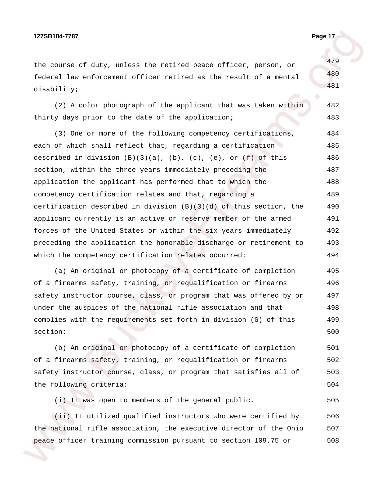the course of duty, unless the retired peace officer, person, or federal law enforcement officer retired as the result of a mental disability;

(2) A color photograph of the applicant that was taken within thirty days prior to the date of the application;

(3) One or more of the following competency certifications, each of which shall reflect that, regarding a certification described in division  $(B)(3)(a)$ ,  $(b)$ ,  $(c)$ ,  $(e)$ , or  $(f)$  of this section, within the three years immediately preceding the application the applicant has performed that to which the competency certification relates and that, regarding a certification described in division  $(B)(3)(d)$  of this section, the applicant currently is an active or reserve member of the armed forces of the United States or within the six years immediately preceding the application the honorable discharge or retirement to which the competency certification relates occurred: 484 485 486 487 488 489 490 491 492 493 494 **127881147787**<br>
The accuracy of the vector and the vector of the set of the set of the set of the set of the set of the set of the set of the set of the set of the set of the set of the set of the set of the set of the se

(a) An original or photocopy of a certificate of completion of a firearms safety, training, or requalification or firearms safety instructor course, class, or program that was offered by or under the auspices of the national rifle association and that complies with the requirements set forth in division (G) of this section; 495 496 497 498 499 500

(b) An original or photocopy of a certificate of completion of a firearms safety, training, or requalification or firearms safety instructor course, class, or program that satisfies all of the following criteria: 501 502 503 504

(i) It was open to members of the general public. 505

(ii) It utilized qualified instructors who were certified by the national rifle association, the executive director of the Ohio peace officer training commission pursuant to section 109.75 or 506 507 508

479 480 481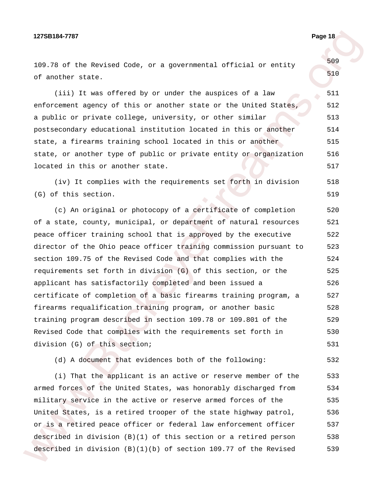109.78 of the Revised Code, or a governmental official or entity of another state.

(iii) It was offered by or under the auspices of a law enforcement agency of this or another state or the United States, a public or private college, university, or other similar postsecondary educational institution located in this or another state, a firearms training school located in this or another state, or another type of public or private entity or organization located in this or another state. 511 512 513 514 515 516 517

(iv) It complies with the requirements set forth in division (G) of this section. 518 519

(c) An original or photocopy of a certificate of completion of a state, county, municipal, or department of natural resources peace officer training school that is approved by the executive director of the Ohio peace officer training commission pursuant to section 109.75 of the Revised Code and that complies with the requirements set forth in division (G) of this section, or the applicant has satisfactorily completed and been issued a certificate of completion of a basic firearms training program, a firearms requalification training program, or another basic training program described in section 109.78 or 109.801 of the Revised Code that complies with the requirements set forth in division (G) of this section; 520 521 522 523 524 525 526 527 528 529 530 531 **127881847787**<br>
Weight 128, 28 of the Tevlind Cone, or a governmental of ideial or entity<br>
CC another state.<br>
(timit the so ofference by or under the amplicas of a law<br>
(timit is the solution of the solution of the soluti

(d) A document that evidences both of the following: 532

(i) That the applicant is an active or reserve member of the armed forces of the United States, was honorably discharged from military service in the active or reserve armed forces of the United States, is a retired trooper of the state highway patrol, or is a retired peace officer or federal law enforcement officer described in division (B)(1) of this section or a retired person described in division  $(B)(1)(b)$  of section 109.77 of the Revised 533 534 535 536 537 538 539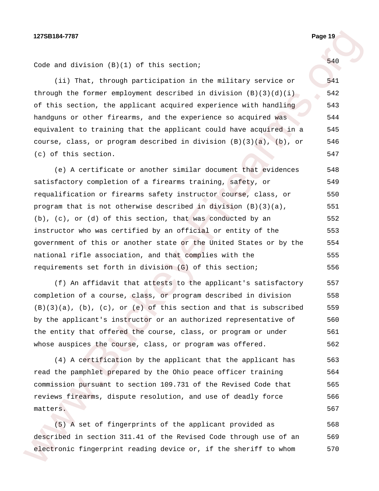Code and division  $(B)(1)$  of this section;  $540$ 

(ii) That, through participation in the military service or through the former employment described in division  $(B)(3)(d)(i)$ of this section, the applicant acquired experience with handling handguns or other firearms, and the experience so acquired was equivalent to training that the applicant could have acquired in a course, class, or program described in division  $(B)(3)(a)$ ,  $(b)$ , or (c) of this section.

(e) A certificate or another similar document that evidences satisfactory completion of a firearms training, safety, or requalification or firearms safety instructor course, class, or program that is not otherwise described in division (B)(3)(a), (b), (c), or (d) of this section, that was conducted by an instructor who was certified by an official or entity of the government of this or another state or the United States or by the national rifle association, and that complies with the requirements set forth in division (G) of this section; 548 549 550 551 552 553 554 555 556 **1278811447797**<br> **Page 18**<br>
Code and divident (Te)(1) of this mention in the military despite or<br>
(iii) Thes, through participation in the military despite or<br>
computer of this mention, and any despite of dividence (Te)(1

(f) An affidavit that attests to the applicant's satisfactory completion of a course, class, or program described in division  $(B)(3)(a)$ ,  $(b)$ ,  $(c)$ , or  $(e)$  of this section and that is subscribed by the applicant's instructor or an authorized representative of the entity that offered the course, class, or program or under whose auspices the course, class, or program was offered. 557 558 559 560 561 562

(4) A certification by the applicant that the applicant has read the pamphlet prepared by the Ohio peace officer training commission pursuant to section 109.731 of the Revised Code that reviews firearms, dispute resolution, and use of deadly force matters. 563 564 565 566 567

(5) A set of fingerprints of the applicant provided as described in section 311.41 of the Revised Code through use of an electronic fingerprint reading device or, if the sheriff to whom 568 569 570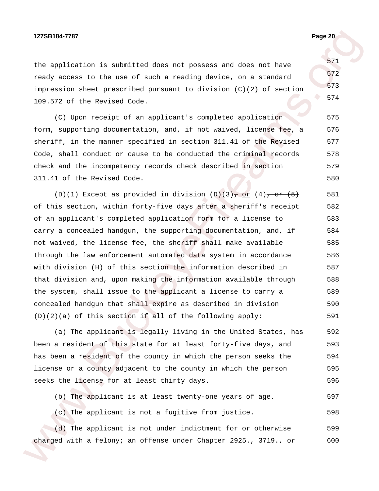the application is submitted does not possess and does not have ready access to the use of such a reading device, on a standard impression sheet prescribed pursuant to division (C)(2) of section 109.572 of the Revised Code.

(C) Upon receipt of an applicant's completed application form, supporting documentation, and, if not waived, license fee, a sheriff, in the manner specified in section 311.41 of the Revised Code, shall conduct or cause to be conducted the criminal records check and the incompetency records check described in section 311.41 of the Revised Code. 575 576 577 578 579 580

(D)(1) Except as provided in division (D)(3)<sub>7</sub> or (4)<sub>7</sub> or (5) of this section, within forty-five days after a sheriff's receipt of an applicant's completed application form for a license to carry a concealed handgun, the supporting documentation, and, if not waived, the license fee, the sheriff shall make available through the law enforcement automated data system in accordance with division (H) of this section the information described in that division and, upon making the information available through the system, shall issue to the applicant a license to carry a concealed handgun that shall expire as described in division (D)(2)(a) of this section if all of the following apply: 581 582 583 584 585 586 587 588 589 590 591 **1278811447787**<br>
The application is auxembred does not possess and does not have<br>
result as the set of such a resulting device, on a statistical<br>
formy access to the use of such a resulting device, on a statistical<br>
formy

(a) The applicant is legally living in the United States, has been a resident of this state for at least forty-five days, and has been a resident of the county in which the person seeks the license or a county adjacent to the county in which the person seeks the license for at least thirty days. 592 593 594 595 596

(b) The applicant is at least twenty-one years of age. 597

(c) The applicant is not a fugitive from justice. 598

(d) The applicant is not under indictment for or otherwise charged with a felony; an offense under Chapter 2925., 3719., or 599 600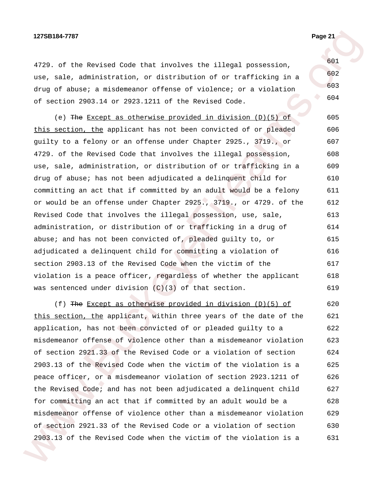4729. of the Revised Code that involves the illegal possession, use, sale, administration, or distribution of or trafficking in a drug of abuse; a misdemeanor offense of violence; or a violation of section 2903.14 or 2923.1211 of the Revised Code.

(e) The Except as otherwise provided in division  $(D)(5)$  of this section, the applicant has not been convicted of or pleaded guilty to a felony or an offense under Chapter 2925., 3719., or 4729. of the Revised Code that involves the illegal possession, use, sale, administration, or distribution of or trafficking in a drug of abuse; has not been adjudicated a delinquent child for committing an act that if committed by an adult would be a felony or would be an offense under Chapter 2925., 3719., or 4729. of the Revised Code that involves the illegal possession, use, sale, administration, or distribution of or trafficking in a drug of abuse; and has not been convicted of, pleaded guilty to, or adjudicated a delinquent child for committing a violation of section 2903.13 of the Revised Code when the victim of the violation is a peace officer, regardless of whether the applicant was sentenced under division  $(C)(3)$  of that section. 605 606 607 608 609 610 611 612 613 614 615 616 617 618 619 **1278811447787**<br> **EAGAL CONSULTER CONSULTER CONSULTER CONSULTER CONSULTER CONSULTER CONSULTER CONSULTER CONSULTER CONSULTER CONSULTER CONSULTER CONSULTER CONSULTER CONSULTER CONSULTER CONSULTER CONSULTER CONSULTER CONSULT** 

(f) The Except as otherwise provided in division  $(D)(5)$  of this section, the applicant, within three years of the date of the application, has not been convicted of or pleaded guilty to a misdemeanor offense of violence other than a misdemeanor violation of section 2921.33 of the Revised Code or a violation of section 2903.13 of the Revised Code when the victim of the violation is a peace officer, or a misdemeanor violation of section 2923.1211 of the Revised Code; and has not been adjudicated a delinquent child for committing an act that if committed by an adult would be a misdemeanor offense of violence other than a misdemeanor violation of section 2921.33 of the Revised Code or a violation of section 2903.13 of the Revised Code when the victim of the violation is a 620 621 622 623 624 625 626 627 628 629 630 631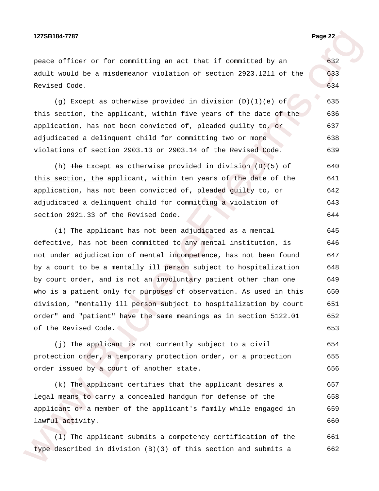peace officer or for committing an act that if committed by an adult would be a misdemeanor violation of section 2923.1211 of the Revised Code.

(g) Except as otherwise provided in division (D)(1)(e) of this section, the applicant, within five years of the date of the application, has not been convicted of, pleaded guilty to, or adjudicated a delinquent child for committing two or more violations of section 2903.13 or 2903.14 of the Revised Code. 635 636 637 638 639

(h) The Except as otherwise provided in division  $(D)(5)$  of this section, the applicant, within ten years of the date of the application, has not been convicted of, pleaded guilty to, or adjudicated a delinquent child for committing a violation of section 2921.33 of the Revised Code. 640 641 642 643 644

(i) The applicant has not been adjudicated as a mental defective, has not been committed to any mental institution, is not under adjudication of mental incompetence, has not been found by a court to be a mentally ill person subject to hospitalization by court order, and is not an involuntary patient other than one who is a patient only for purposes of observation. As used in this division, "mentally ill person subject to hospitalization by court order" and "patient" have the same meanings as in section 5122.01 of the Revised Code. 645 646 647 648 649 650 651 652 653 **127881847787**<br>
passes officer or for commutiting an act that if commuticating or most<br>
passes officer or for commutiting an act that if commuticating by<br>
Reviewe Code.<br>
(g) Docept as obtenuite provided in division (DiP)<br>

(j) The applicant is not currently subject to a civil protection order, a temporary protection order, or a protection order issued by a court of another state. 654 655 656

(k) The applicant certifies that the applicant desires a legal means to carry a concealed handgun for defense of the applicant or a member of the applicant's family while engaged in lawful activity. 657 658 659 660

(l) The applicant submits a competency certification of the type described in division (B)(3) of this section and submits a 661 662

633 634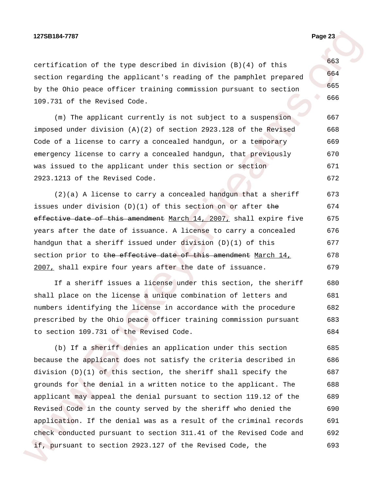certification of the type described in division (B)(4) of this section regarding the applicant's reading of the pamphlet prepared by the Ohio peace officer training commission pursuant to section 109.731 of the Revised Code.

(m) The applicant currently is not subject to a suspension imposed under division (A)(2) of section 2923.128 of the Revised Code of a license to carry a concealed handgun, or a temporary emergency license to carry a concealed handgun, that previously was issued to the applicant under this section or section 2923.1213 of the Revised Code. 667 668 669 670 671 672

(2)(a) A license to carry a concealed handgun that a sheriff issues under division  $(D)(1)$  of this section on or after the effective date of this amendment March 14, 2007, shall expire five years after the date of issuance. A license to carry a concealed handgun that a sheriff issued under division (D)(1) of this section prior to the effective date of this amendment March 14, 2007, shall expire four years after the date of issuance. 673 674 675 676 677 678 679

If a sheriff issues a license under this section, the sheriff shall place on the license a unique combination of letters and numbers identifying the license in accordance with the procedure prescribed by the Ohio peace officer training commission pursuant to section 109.731 of the Revised Code. 680 681 682 683 684

(b) If a sheriff denies an application under this section because the applicant does not satisfy the criteria described in division  $(D)(1)$  of this section, the sheriff shall specify the grounds for the denial in a written notice to the applicant. The applicant may appeal the denial pursuant to section 119.12 of the Revised Code in the county served by the sheriff who denied the application. If the denial was as a result of the criminal records check conducted pursuant to section 311.41 of the Revised Code and if, pursuant to section 2923.127 of the Revised Code, the 685 686 687 688 689 690 691 692 693 **1275811447787**<br> **PROP 23**<br>
contribution of the type denomined in division (R( $E$ ) or this<br>
section regarding the application pursuant to action<br>
(63)<br>
by the Ohio peace officer relating commission pursuant to action<br>
(63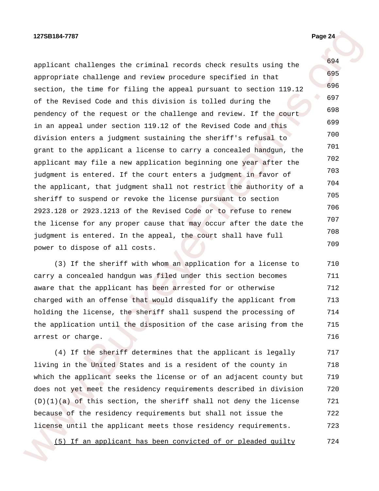applicant challenges the criminal records check results using the appropriate challenge and review procedure specified in that section, the time for filing the appeal pursuant to section 119.12 of the Revised Code and this division is tolled during the pendency of the request or the challenge and review. If the court in an appeal under section 119.12 of the Revised Code and this division enters a judgment sustaining the sheriff's refusal to grant to the applicant a license to carry a concealed handgun, the applicant may file a new application beginning one year after the judgment is entered. If the court enters a judgment in favor of the applicant, that judgment shall not restrict the authority of a sheriff to suspend or revoke the license pursuant to section 2923.128 or 2923.1213 of the Revised Code or to refuse to renew the license for any proper cause that may occur after the date the judgment is entered. In the appeal, the court shall have full power to dispose of all costs. 694 695 696 697 698 699 700 701 702 703 704 705 706 707 708 709 **1278811447787**<br> **PEGGERR**<br> **EXECUTE:** The contribution of the specifical interaction of the specifical interaction of the specifical contribution of the Formato of the Formato of the specifical contribution (SP)<br> **EXECUT** 

(3) If the sheriff with whom an application for a license to carry a concealed handgun was filed under this section becomes aware that the applicant has been arrested for or otherwise charged with an offense that would disqualify the applicant from holding the license, the sheriff shall suspend the processing of the application until the disposition of the case arising from the arrest or charge. 710 711 712 713 714 715 716

(4) If the sheriff determines that the applicant is legally living in the United States and is a resident of the county in which the applicant seeks the license or of an adjacent county but does not yet meet the residency requirements described in division  $(D)(1)(a)$  of this section, the sheriff shall not deny the license because of the residency requirements but shall not issue the license until the applicant meets those residency requirements. 717 718 719 720 721 722 723

(5) If an applicant has been convicted of or pleaded guilty 724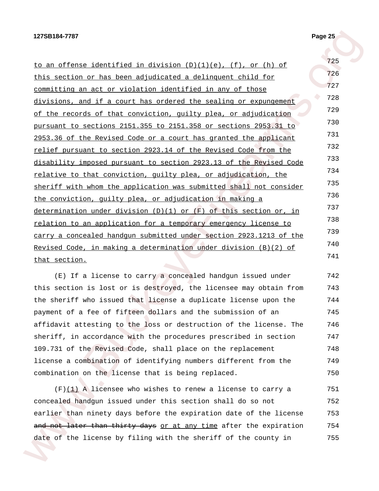| 127SB184-7787                                                      | Page 25 |
|--------------------------------------------------------------------|---------|
|                                                                    |         |
| to an offense identified in division (D)(1)(e), (f), or (h) of     | 725     |
| this section or has been adjudicated a delinguent child for        | 726     |
| committing an act or violation identified in any of those          | 727     |
| divisions, and if a court has ordered the sealing or expungement   | 728     |
| of the records of that conviction, quilty plea, or adjudication    | 729     |
| pursuant to sections 2151.355 to 2151.358 or sections 2953.31 to   | 730     |
| 2953.36 of the Revised Code or a court has granted the applicant   | 731     |
| relief pursuant to section 2923.14 of the Revised Code from the    | 732     |
| disability imposed pursuant to section 2923.13 of the Revised Code | 733     |
| relative to that conviction, quilty plea, or adjudication, the     | 734     |
| sheriff with whom the application was submitted shall not consider | 735     |
| the conviction, quilty plea, or adjudication in making a           | 736     |
| determination under division (D)(1) or (F) of this section or, in  | 737     |
| relation to an application for a temporary emergency license to    | 738     |
| carry a concealed handgun submitted under section 2923.1213 of the | 739     |
| Revised Code, in making a determination under division (B)(2) of   | 740     |
| that section.                                                      | 741     |
| (E) If a license to carry a concealed handgun issued under         | 742     |
| this section is lost or is destroyed, the licensee may obtain from | 743     |
| the sheriff who issued that license a duplicate license upon the   | 744     |
| payment of a fee of fifteen dollars and the submission of an       | 745     |
| affidavit attesting to the loss or destruction of the license. The | 746     |
| sheriff, in accordance with the procedures prescribed in section   | 747     |
| 109.731 of the Revised Code, shall place on the replacement        | 748     |
| license a combination of identifying numbers different from the    | 749     |
| combination on the license that is being replaced.                 | 750     |
| $(F)(1)$ A licensee who wishes to renew a license to carry a       | 751     |
| concealed handgun issued under this section shall do so not        | 752     |
| earlier than ninety days before the expiration date of the license | 753     |
| and not later than thirty days or at any time after the expiration | 754     |
| date of the license by filing with the sheriff of the county in    | 755     |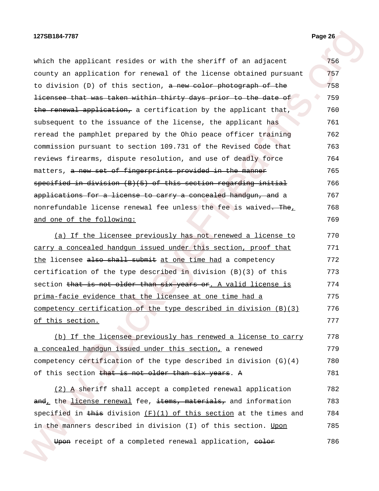which the applicant resides or with the sheriff of an adjacent county an application for renewal of the license obtained pursuant to division (D) of this section, a new color photograph of the licensee that was taken within thirty days prior to the date of the renewal application, a certification by the applicant that, subsequent to the issuance of the license, the applicant has reread the pamphlet prepared by the Ohio peace officer training commission pursuant to section 109.731 of the Revised Code that reviews firearms, dispute resolution, and use of deadly force matters, a new set of fingerprints provided in the manner specified in division (B)(5) of this section regarding initial applications for a license to carry a concealed handgun, and a nonrefundable license renewal fee unless the fee is waived. The and one of the following: 756 757 758 759 760 761 762 763 764 765 766 767 768 769 (a) If the licensee previously has not renewed a license to 770 127881947797 Page 28<br>
which the agglicant modes or which the sheriff of an adjacent<br>
control or control of the linear order were effectively at the set of the linear order order order and<br>
to division (b) of this settlem,

carry a concealed handgun issued under this section, proof that the licensee also shall submit at one time had a competency certification of the type described in division (B)(3) of this section that is not older than six years or. A valid license is prima-facie evidence that the licensee at one time had a competency certification of the type described in division (B)(3) of this section. 771 772 773 774 775 776 777

(b) If the licensee previously has renewed a license to carry a concealed handgun issued under this section, a renewed competency certification of the type described in division (G)(4) of this section that is not older than six years. A 778 779 780 781

(2) A sheriff shall accept a completed renewal application and, the <u>license renewal</u> fee, <del>items, materials,</del> and information specified in this division  $(F)(1)$  of this section at the times and in the manners described in division (I) of this section. Upon 782 783 784 785

Upon receipt of a completed renewal application,  $\epsilon$ olor 786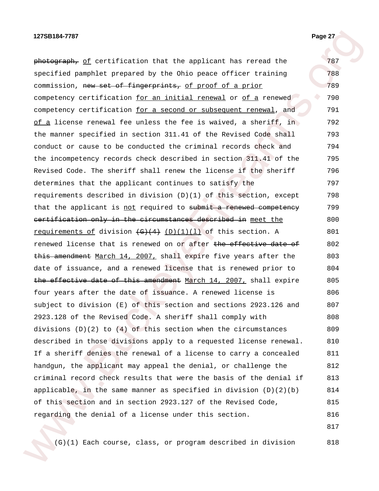photograph, of certification that the applicant has reread the specified pamphlet prepared by the Ohio peace officer training commission, new set of fingerprints, of proof of a prior competency certification for an initial renewal or of a renewed competency certification for a second or subsequent renewal, and of a license renewal fee unless the fee is waived, a sheriff, in the manner specified in section 311.41 of the Revised Code shall conduct or cause to be conducted the criminal records check and the incompetency records check described in section 311.41 of the Revised Code. The sheriff shall renew the license if the sheriff determines that the applicant continues to satisfy the requirements described in division (D)(1) of this section, except that the applicant is not required to submit a renewed competency certification only in the circumstances described in meet the requirements of division  $(G)(4)$  (D)(1)(1) of this section. A renewed license that is renewed on or after the effective date of this amendment March 14, 2007, shall expire five years after the date of issuance, and a renewed license that is renewed prior to the effective date of this amendment March 14, 2007, shall expire four years after the date of issuance. A renewed license is subject to division (E) of this section and sections 2923.126 and 2923.128 of the Revised Code. A sheriff shall comply with divisions  $(D)(2)$  to  $(4)$  of this section when the circumstances described in those divisions apply to a requested license renewal. If a sheriff denies the renewal of a license to carry a concealed handgun, the applicant may appeal the denial, or challenge the criminal record check results that were the basis of the denial if applicable, in the same manner as specified in division  $(D)(2)(b)$ of this section and in section 2923.127 of the Revised Code, regarding the denial of a license under this section. 787 788 789 790 791 792 793 794 795 796 797 798 799 800 801 802 803 804 805 806 807 808 809 810 811 812 813 814 815 816 817 127881947797 Page 27<br>
photographs of contribution that the applicant has venezad the rapy interval in the properties (origination) the method in the control of the method in the second in the second in the second in the s

(G)(1) Each course, class, or program described in division 818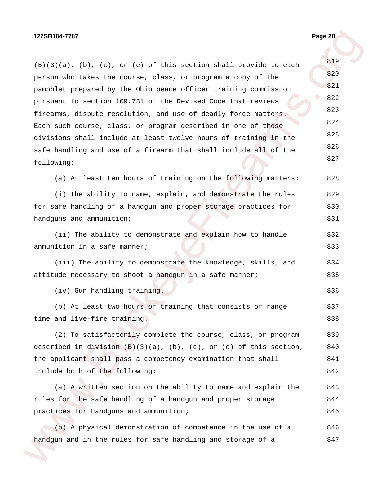$(B)(3)(a)$ ,  $(b)$ ,  $(c)$ , or  $(e)$  of this section shall provide to each person who takes the course, class, or program a copy of the pamphlet prepared by the Ohio peace officer training commission pursuant to section 109.731 of the Revised Code that reviews firearms, dispute resolution, and use of deadly force matters. Each such course, class, or program described in one of those divisions shall include at least twelve hours of training in the safe handling and use of a firearm that shall include all of the following: 819 820 821 823 824 825 826 827 **127881847787**<br>
Weighter the control of the first a metric model program and provide to see the<br>
present who between the control of the control of the control of the<br>
present to metric model of the control of the control

(a) At least ten hours of training on the following matters: 828

(i) The ability to name, explain, and demonstrate the rules for safe handling of a handgun and proper storage practices for handguns and ammunition; 829 830 831

(ii) The ability to demonstrate and explain how to handle ammunition in a safe manner; 832 833

(iii) The ability to demonstrate the knowledge, skills, and attitude necessary to shoot a handgun in a safe manner; 834 835

(iv) Gun handling training. 836

(b) At least two hours of training that consists of range time and live-fire training. 837 838

(2) To satisfactorily complete the course, class, or program described in division (B)(3)(a), (b), (c), or (e) of this section, the applicant shall pass a competency examination that shall include both of the following: 839 840 841 842

(a) A written section on the ability to name and explain the rules for the safe handling of a handgun and proper storage practices for handguns and ammunition; 843 844 845

(b) A physical demonstration of competence in the use of a handgun and in the rules for safe handling and storage of a 846 847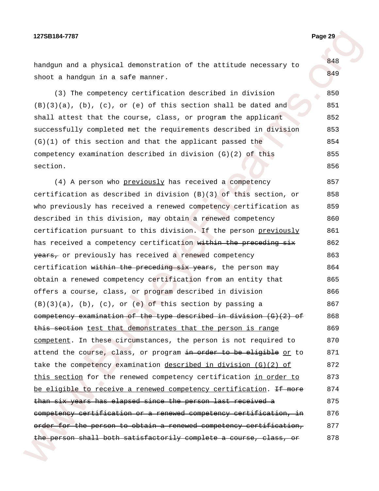848 849

handgun and a physical demonstration of the attitude necessary to shoot a handgun in a safe manner.

(3) The competency certification described in division (B)(3)(a), (b), (c), or (e) of this section shall be dated and shall attest that the course, class, or program the applicant successfully completed met the requirements described in division (G)(1) of this section and that the applicant passed the competency examination described in division  $(G)(2)$  of this section. 850 851 852 853 854 855 856

(4) A person who previously has received a competency certification as described in division (B)(3) of this section, or who previously has received a renewed competency certification as described in this division, may obtain a renewed competency certification pursuant to this division. If the person previously has received a competency certification within the preceding six years, or previously has received a renewed competency certification within the preceding six years, the person may obtain a renewed competency certification from an entity that offers a course, class, or program described in division  $(B)(3)(a)$ ,  $(b)$ ,  $(c)$ , or  $(e)$  of this section by passing a competency examination of the type described in division (G)(2) of this section test that demonstrates that the person is range competent. In these circumstances, the person is not required to attend the course, class, or program in order to be eligible or to take the competency examination described in division  $(G)(2)$  of this section for the renewed competency certification in order to be eligible to receive a renewed competency certification. If more than six years has elapsed since the person last received a competency certification or a renewed competency certification, in order for the person to obtain a renewed competency certification, the person shall both satisfactorily complete a course, class, or 857 858 859 860 861 862 863 864 865 866 867 868 869 870 871 872 873 874 875 876 877 878 127881947787<br>
Hennogur and a physical democration of the attitude recessary to<br>
Education a sale manuer.<br>
Education a sale manuer.<br>
(3) This cross-constraints of the strike recessary to<br>
(3) This cross-constraints in the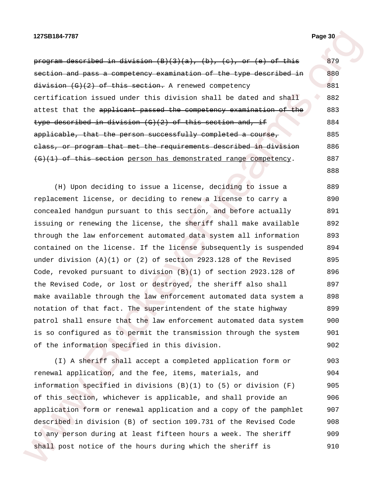888

| program described in division $(B)(3)(a)$ , $(b)$ , $(c)$ , or $(c)$ of this | 879 |
|------------------------------------------------------------------------------|-----|
| section and pass a competency examination of the type described in           | 880 |
| $\overline{\text{division}}$ (G)(2) of this section. A renewed competency    | 881 |
| certification issued under this division shall be dated and shall            | 882 |
| attest that the applicant passed the competency examination of the           | 883 |
| type described in division $(G)(2)$ of this section and, if                  | 884 |
| applicable, that the person successfully completed a course,                 | 885 |
| class, or program that met the requirements described in division            | 886 |
| $(G)(1)$ of this section person has demonstrated range competency.           | 887 |

(H) Upon deciding to issue a license, deciding to issue a replacement license, or deciding to renew a license to carry a concealed handgun pursuant to this section, and before actually issuing or renewing the license, the sheriff shall make available through the law enforcement automated data system all information contained on the license. If the license subsequently is suspended under division (A)(1) or (2) of section 2923.128 of the Revised Code, revoked pursuant to division (B)(1) of section 2923.128 of the Revised Code, or lost or destroyed, the sheriff also shall make available through the law enforcement automated data system a notation of that fact. The superintendent of the state highway patrol shall ensure that the law enforcement automated data system is so configured as to permit the transmission through the system of the information specified in this division. 889 890 891 892 893 894 895 896 897 898 899 900 901 902 127881947787<br>
progress decorations in division in the state of the system and the system in the system of the system of the system of the system of the system of the system of the system of the system of the system of the

(I) A sheriff shall accept a completed application form or renewal application, and the fee, items, materials, and information specified in divisions (B)(1) to (5) or division (F) of this section, whichever is applicable, and shall provide an application form or renewal application and a copy of the pamphlet described in division (B) of section 109.731 of the Revised Code to any person during at least fifteen hours a week. The sheriff shall post notice of the hours during which the sheriff is 903 904 905 906 907 908 909 910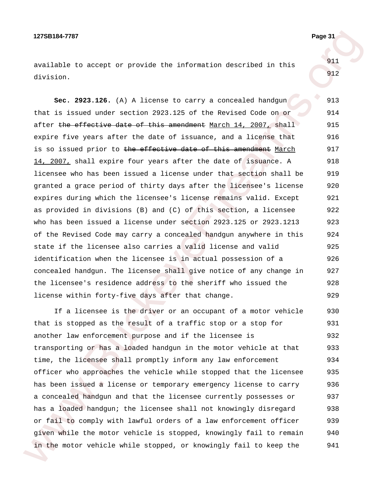available to accept or provide the information described in this division.

**Sec. 2923.126.** (A) A license to carry a concealed handgun that is issued under section 2923.125 of the Revised Code on or after the effective date of this amendment March 14, 2007, shall expire five years after the date of issuance, and a license that is so issued prior to the effective date of this amendment March 14, 2007, shall expire four years after the date of issuance. A licensee who has been issued a license under that section shall be granted a grace period of thirty days after the licensee's license expires during which the licensee's license remains valid. Except as provided in divisions (B) and (C) of this section, a licensee who has been issued a license under section 2923.125 or 2923.1213 of the Revised Code may carry a concealed handgun anywhere in this state if the licensee also carries a valid license and valid identification when the licensee is in actual possession of a concealed handgun. The licensee shall give notice of any change in the licensee's residence address to the sheriff who issued the license within forty-five days after that change. 913 914 915 916 917 918 919 920 921 922 923 924 925 926 927 928 929 **127881847787**<br> **PROP 31**<br> **EVISION:** The accept or provide the intermediate denomination of phrame 321<br> **EVISION.**<br> **EASL ARE ACT A MORE CONSECT ASSASS ARE ACTION CONSECT AND A STRAIGE AND A STRAIGE AND A STRAIGE AND A S** 

If a licensee is the driver or an occupant of a motor vehicle that is stopped as the result of a traffic stop or a stop for another law enforcement purpose and if the licensee is transporting or has a loaded handgun in the motor vehicle at that time, the licensee shall promptly inform any law enforcement officer who approaches the vehicle while stopped that the licensee has been issued a license or temporary emergency license to carry a concealed handgun and that the licensee currently possesses or has a loaded handgun; the licensee shall not knowingly disregard or fail to comply with lawful orders of a law enforcement officer given while the motor vehicle is stopped, knowingly fail to remain in the motor vehicle while stopped, or knowingly fail to keep the 930 931 932 933 934 935 936 937 938 939 940 941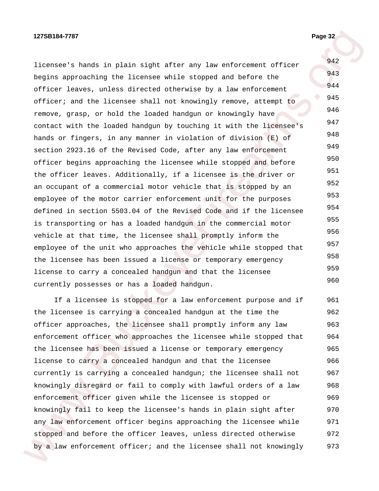licensee's hands in plain sight after any law enforcement officer begins approaching the licensee while stopped and before the officer leaves, unless directed otherwise by a law enforcement officer; and the licensee shall not knowingly remove, attempt to remove, grasp, or hold the loaded handgun or knowingly have contact with the loaded handgun by touching it with the licensee's hands or fingers, in any manner in violation of division (E) of section 2923.16 of the Revised Code, after any law enforcement officer begins approaching the licensee while stopped and before the officer leaves. Additionally, if a licensee is the driver or an occupant of a commercial motor vehicle that is stopped by an employee of the motor carrier enforcement unit for the purposes defined in section 5503.04 of the Revised Code and if the licensee is transporting or has a loaded handgun in the commercial motor vehicle at that time, the licensee shall promptly inform the employee of the unit who approaches the vehicle while stopped that the licensee has been issued a license or temporary emergency license to carry a concealed handgun and that the licensee currently possesses or has a loaded handgun. 942 943 944 945 946 947 948 949 950 951 952 953 954 955 956 957 958 959 960 **1278811447787**<br> **PROGREM 1278811447787**<br> **PROGREM 221101248121**<br> **Explore agreements of the street only that converted and addication and addication of the street of the street of the street of the contents of the conten** 

If a licensee is stopped for a law enforcement purpose and if the licensee is carrying a concealed handgun at the time the officer approaches, the licensee shall promptly inform any law enforcement officer who approaches the licensee while stopped that the licensee has been issued a license or temporary emergency license to carry a concealed handgun and that the licensee currently is carrying a concealed handgun; the licensee shall not knowingly disregard or fail to comply with lawful orders of a law enforcement officer given while the licensee is stopped or knowingly fail to keep the licensee's hands in plain sight after any law enforcement officer begins approaching the licensee while stopped and before the officer leaves, unless directed otherwise by a law enforcement officer; and the licensee shall not knowingly 961 962 963 964 965 966 967 968 969 970 971 972 973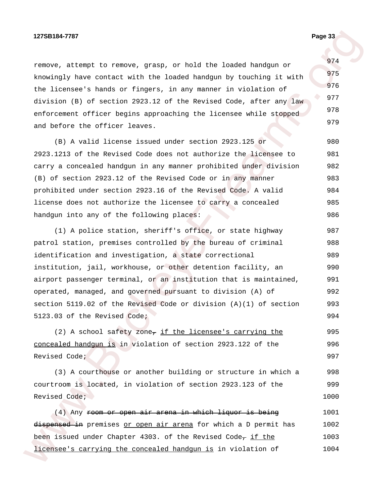remove, attempt to remove, grasp, or hold the loaded handgun or knowingly have contact with the loaded handgun by touching it with the licensee's hands or fingers, in any manner in violation of division (B) of section 2923.12 of the Revised Code, after any law enforcement officer begins approaching the licensee while stopped and before the officer leaves.

(B) A valid license issued under section 2923.125 or 2923.1213 of the Revised Code does not authorize the licensee to carry a concealed handgun in any manner prohibited under division (B) of section 2923.12 of the Revised Code or in any manner prohibited under section 2923.16 of the Revised Code. A valid license does not authorize the licensee to carry a concealed handgun into any of the following places: 980 981 982 983 984 985 986

(1) A police station, sheriff's office, or state highway patrol station, premises controlled by the bureau of criminal identification and investigation, a state correctional institution, jail, workhouse, or other detention facility, an airport passenger terminal, or an institution that is maintained, operated, managed, and governed pursuant to division (A) of section 5119.02 of the Revised Code or division (A)(1) of section 5123.03 of the Revised Code; 987 988 989 990 991 992 993 994 **127881947787**<br>
Weigher absorpt to remove, group, or hold the located handgap or<br>
Year (consider a contract with the located handgap by touching it with<br>the licenses's hands or filingers. In any manner in violation of<br>
fo

(2) A school safety zone $\tau$  if the licensee's carrying the concealed handgun is in violation of section 2923.122 of the Revised Code; 995 996 997

(3) A courthouse or another building or structure in which a courtroom is located, in violation of section 2923.123 of the Revised Code; 998 999 1000

(4) Any room or open air arena in which liquor is being dispensed in premises or open air arena for which a D permit has been issued under Chapter 4303. of the Revised Code, if the licensee's carrying the concealed handgun is in violation of 1001 1002 1003 1004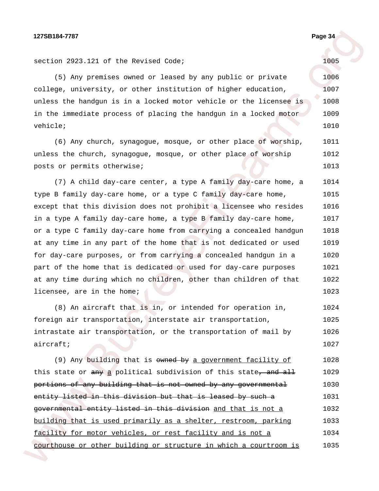section 2923.121 of the Revised Code; 1005

(5) Any premises owned or leased by any public or private college, university, or other institution of higher education, unless the handgun is in a locked motor vehicle or the licensee is in the immediate process of placing the handgun in a locked motor vehicle; 1006 1007 1008 1009 1010

(6) Any church, synagogue, mosque, or other place of worship, unless the church, synagogue, mosque, or other place of worship posts or permits otherwise; 1011 1012 1013

(7) A child day-care center, a type A family day-care home, a type B family day-care home, or a type C family day-care home, except that this division does not prohibit a licensee who resides in a type A family day-care home, a type B family day-care home, or a type C family day-care home from carrying a concealed handgun at any time in any part of the home that is not dedicated or used for day-care purposes, or from carrying a concealed handgun in a part of the home that is dedicated or used for day-care purposes at any time during which no children, other than children of that licensee, are in the home; 1014 1015 1016 1017 1018 1019 1020 1021 1022 1023 127881947787<br>
section 2833,120 of the forvised Code:<br>
(5) Any premise omet or interest code:<br>
(5) Any premise omet or interest code is a trenche of the code is a trenche or<br>
college, university, or other institution of mi

(8) An aircraft that is in, or intended for operation in, foreign air transportation, interstate air transportation, intrastate air transportation, or the transportation of mail by aircraft; 1024 1025 1026 1027

(9) Any building that is owned by a government facility of this state or any a political subdivision of this state, and all portions of any building that is not owned by any governmental entity listed in this division but that is leased by such a governmental entity listed in this division and that is not a building that is used primarily as a shelter, restroom, parking facility for motor vehicles, or rest facility and is not a courthouse or other building or structure in which a courtroom is 1028 1029 1030 1031 1032 1033 1034 1035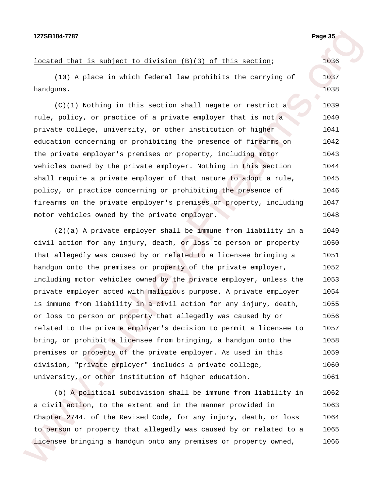1037 1038

# located that is subject to division (B)(3) of this section; 1036

(10) A place in which federal law prohibits the carrying of handguns.

(C)(1) Nothing in this section shall negate or restrict a rule, policy, or practice of a private employer that is not a private college, university, or other institution of higher education concerning or prohibiting the presence of firearms on the private employer's premises or property, including motor vehicles owned by the private employer. Nothing in this section shall require a private employer of that nature to adopt a rule, policy, or practice concerning or prohibiting the presence of firearms on the private employer's premises or property, including motor vehicles owned by the private employer. 1039 1040 1041 1042 1043 1044 1045 1046 1047 1048

(2)(a) A private employer shall be immune from liability in a civil action for any injury, death, or loss to person or property that allegedly was caused by or related to a licensee bringing a handgun onto the premises or property of the private employer, including motor vehicles owned by the private employer, unless the private employer acted with malicious purpose. A private employer is immune from liability in a civil action for any injury, death, or loss to person or property that allegedly was caused by or related to the private employer's decision to permit a licensee to bring, or prohibit a licensee from bringing, a handgun onto the premises or property of the private employer. As used in this division, "private employer" includes a private college, university, or other institution of higher education. 1049 1050 1051 1052 1053 1054 1055 1056 1057 1058 1059 1060 1061 **1278811447797**<br>
Weighe 38<br>
100016.0 that is subfact to o'vidado (S)(31 of this section:<br>
18298<br>
10016.0 the car and control of the car and the section of the car and<br>
18298<br>
100016.8 the car and the car and the car and t

(b) A political subdivision shall be immune from liability in a civil action, to the extent and in the manner provided in Chapter 2744. of the Revised Code, for any injury, death, or loss to person or property that allegedly was caused by or related to a licensee bringing a handgun onto any premises or property owned, 1062 1063 1064 1065 1066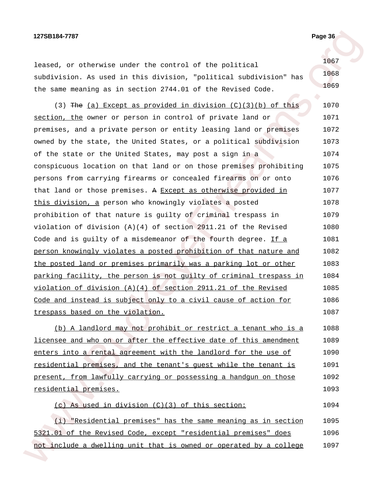| leased, or otherwise under the control of the political            | 1067 |
|--------------------------------------------------------------------|------|
| subdivision. As used in this division, "political subdivision" has | 1068 |
| the same meaning as in section 2744.01 of the Revised Code.        | 1069 |

(3) The (a) Except as provided in division  $(C)(3)(b)$  of this section, the owner or person in control of private land or premises, and a private person or entity leasing land or premises owned by the state, the United States, or a political subdivision of the state or the United States, may post a sign in a conspicuous location on that land or on those premises prohibiting persons from carrying firearms or concealed firearms on or onto that land or those premises. A Except as otherwise provided in this division, a person who knowingly violates a posted prohibition of that nature is guilty of criminal trespass in violation of division (A)(4) of section 2911.21 of the Revised Code and is guilty of a misdemeanor of the fourth degree. If a person knowingly violates a posted prohibition of that nature and the posted land or premises primarily was a parking lot or other parking facility, the person is not guilty of criminal trespass in violation of division (A)(4) of section 2911.21 of the Revised Code and instead is subject only to a civil cause of action for trespass based on the violation. 1070 1071 1072 1073 1074 1075 1076 1077 1078 1079 1080 1081 1082 1083 1084 1085 1086 1087 127881947787<br>
Neasond, or otherwides under the control or the political<br>
reactivistics). As a second in this calibration, (religion is a second in the same meaning as in metrics and in the branching local (for the branchi

(b) A landlord may not prohibit or restrict a tenant who is a licensee and who on or after the effective date of this amendment enters into a rental agreement with the landlord for the use of residential premises, and the tenant's guest while the tenant is present, from lawfully carrying or possessing a handgun on those residential premises. 1088 1089 1090 1091 1092 1093

(c) As used in division (C)(3) of this section: 1094

(i) "Residential premises" has the same meaning as in section 5321.01 of the Revised Code, except "residential premises" does not include a dwelling unit that is owned or operated by a college 1095 1096 1097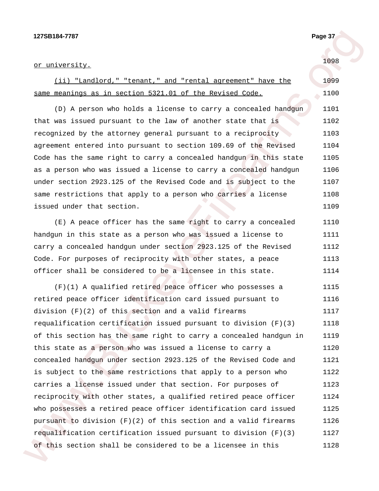## or university. <sup>1098</sup>

| (ii) "Landlord," "tenant," and "rental agreement" have the |  |  |  |  |  |  | 1099 |
|------------------------------------------------------------|--|--|--|--|--|--|------|
| same meanings as in section 5321.01 of the Revised Code.   |  |  |  |  |  |  | 1100 |

(D) A person who holds a license to carry a concealed handgun that was issued pursuant to the law of another state that is recognized by the attorney general pursuant to a reciprocity agreement entered into pursuant to section 109.69 of the Revised Code has the same right to carry a concealed handgun in this state as a person who was issued a license to carry a concealed handgun under section 2923.125 of the Revised Code and is subject to the same restrictions that apply to a person who carries a license issued under that section. 1101 1102 1103 1104 1105 1106 1107 1108 1109

(E) A peace officer has the same right to carry a concealed handgun in this state as a person who was issued a license to carry a concealed handgun under section 2923.125 of the Revised Code. For purposes of reciprocity with other states, a peace officer shall be considered to be a licensee in this state. 1110 1111 1112 1113 1114

(F)(1) A qualified retired peace officer who possesses a retired peace officer identification card issued pursuant to division (F)(2) of this section and a valid firearms requalification certification issued pursuant to division (F)(3) of this section has the same right to carry a concealed handgun in this state as a person who was issued a license to carry a concealed handgun under section 2923.125 of the Revised Code and is subject to the same restrictions that apply to a person who carries a license issued under that section. For purposes of reciprocity with other states, a qualified retired peace officer who possesses a retired peace officer identification card issued pursuant to division  $(F)(2)$  of this section and a valid firearms requalification certification issued pursuant to division  $(F)(3)$ of this section shall be considered to be a licensee in this 1115 1116 1117 1118 1119 1120 1121 1122 1123 1124 1125 1126 1127 1128 127881947787 Page 37  $\frac{(111 \text{ H/mol} \cdot \text{cm}^2 \cdot \text{cm}^2 \cdot \text{cm}^2 \cdot \text{cm}^2 \cdot \text{cm}^2 \cdot \text{cm}^2 \cdot \text{cm}^2 \cdot \text{cm}^2 \cdot \text{cm}^2 \cdot \text{cm}^2 \cdot \text{cm}^2 \cdot \text{cm}^2 \cdot \text{cm}^2 \cdot \text{cm}^2 \cdot \text{cm}^2 \cdot \text{cm}^2 \cdot \text{cm}^2 \cdot \text{cm}^2 \cdot \text{cm}^2 \cdot \text{cm}^2 \cdot \text{cm}$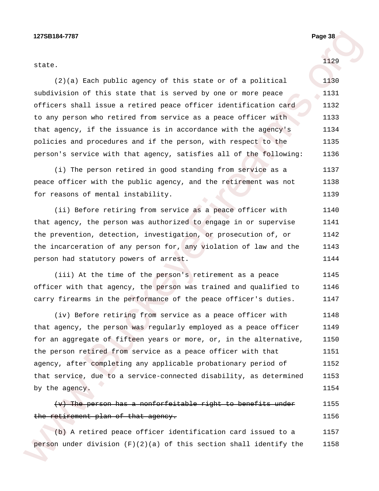|        | 1129 |
|--------|------|
| state. |      |

(2)(a) Each public agency of this state or of a political subdivision of this state that is served by one or more peace officers shall issue a retired peace officer identification card to any person who retired from service as a peace officer with that agency, if the issuance is in accordance with the agency's policies and procedures and if the person, with respect to the person's service with that agency, satisfies all of the following: 1130 1131 1132 1133 1134 1135 1136 127881547787 (2) (a) Rach public agency of this state or of a political interaction and the<br>interaction of the state or of a political interaction of the contexts of the orientation of the state orientation of the context

(i) The person retired in good standing from service as a peace officer with the public agency, and the retirement was not for reasons of mental instability. 1137 1138 1139

(ii) Before retiring from service as a peace officer with that agency, the person was authorized to engage in or supervise the prevention, detection, investigation, or prosecution of, or the incarceration of any person for, any violation of law and the person had statutory powers of arrest. 1140 1141 1142 1143 1144

(iii) At the time of the person's retirement as a peace officer with that agency, the person was trained and qualified to carry firearms in the performance of the peace officer's duties. 1145 1146 1147

(iv) Before retiring from service as a peace officer with that agency, the person was regularly employed as a peace officer for an aggregate of fifteen years or more, or, in the alternative, the person retired from service as a peace officer with that agency, after completing any applicable probationary period of that service, due to a service-connected disability, as determined by the agency. 1148 1149 1150 1151 1152 1153 1154

(v) The person has a nonforfeitable right to benefits under the retirement plan of that agency. 1155 1156

(b) A retired peace officer identification card issued to a person under division  $(F)(2)(a)$  of this section shall identify the 1157 1158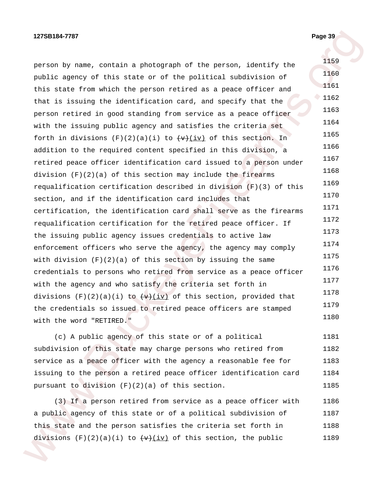person by name, contain a photograph of the person, identify the public agency of this state or of the political subdivision of this state from which the person retired as a peace officer and that is issuing the identification card, and specify that the person retired in good standing from service as a peace officer with the issuing public agency and satisfies the criteria set forth in divisions  $(F)(2)(a)(i)$  to  $\overline{(v)(iv)}$  of this section. In addition to the required content specified in this division, a retired peace officer identification card issued to a person under division  $(F)(2)(a)$  of this section may include the firearms requalification certification described in division  $(F)(3)$  of this section, and if the identification card includes that certification, the identification card shall serve as the firearms requalification certification for the retired peace officer. If the issuing public agency issues credentials to active law enforcement officers who serve the agency, the agency may comply with division  $(F)(2)(a)$  of this section by issuing the same credentials to persons who retired from service as a peace officer with the agency and who satisfy the criteria set forth in divisions  $(F)(2)(a)(i)$  to  $\overline{(+)}(iv)$  of this section, provided that the credentials so issued to retired peace officers are stamped with the word "RETIRED." 1159 1160 1161  $• 1162$ 1163 1164 1165 1166 1167 1168 1169 1170 1171 1172 1173 1174 1175 1176 1177 1178 1179 1180 **1275811447797**<br>
person by none, contain a protograph of the person, identity the<br>
person by none, contain a protograph of the person identity the<br>
1759<br>
1769 1768<br>
1768 1768 4848 cross which the person relited as a peace

(c) A public agency of this state or of a political subdivision of this state may charge persons who retired from service as a peace officer with the agency a reasonable fee for issuing to the person a retired peace officer identification card pursuant to division (F)(2)(a) of this section. 1181 1182 1183 1184 1185

(3) If a person retired from service as a peace officer with a public agency of this state or of a political subdivision of this state and the person satisfies the criteria set forth in divisions  $(F)(2)(a)(i)$  to  $\overline{(v)(iv)}$  of this section, the public 1186 1187 1188 1189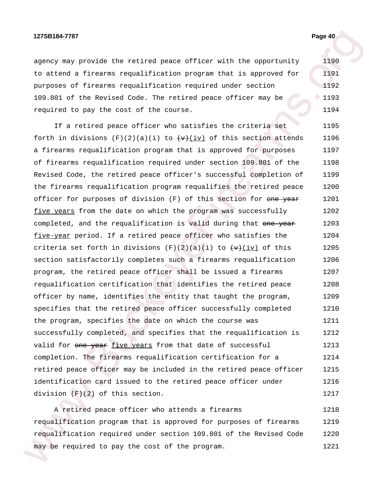agency may provide the retired peace officer with the opportunity to attend a firearms requalification program that is approved for purposes of firearms requalification required under section 109.801 of the Revised Code. The retired peace officer may be required to pay the cost of the course.

If a retired peace officer who satisfies the criteria set forth in divisions  $(F)(2)(a)(i)$  to  $\leftrightarrow$  (iv) of this section attends a firearms requalification program that is approved for purposes of firearms requalification required under section 109.801 of the Revised Code, the retired peace officer's successful completion of the firearms requalification program requalifies the retired peace officer for purposes of division (F) of this section for one year five years from the date on which the program was successfully completed, and the requalification is valid during that one-year five-year period. If a retired peace officer who satisfies the criteria set forth in divisions  $(F)(2)(a)(i)$  to  $\overline{(v)(iv)}$  of this section satisfactorily completes such a firearms requalification program, the retired peace officer shall be issued a firearms requalification certification that identifies the retired peace officer by name, identifies the entity that taught the program, specifies that the retired peace officer successfully completed the program, specifies the date on which the course was successfully completed, and specifies that the requalification is valid for one year five years from that date of successful completion. The firearms requalification certification for a retired peace officer may be included in the retired peace officer identification card issued to the retired peace officer under division (F)(2) of this section. 1195 1196 1197 1198 1199 1200 1201 1202 1203 1204 1205 1206 1207 1208 1209 1210 1211 1212 1213 1214 1215 1216 1217 **PEGBERIA/779 PEGBERIC**<br> **PEGBERIC** and Timescale are proportional temperature of the supervisor of the summatrix in the summatrix of the state of the summatrix of the state of the state of the state in the summatrix of

A retired peace officer who attends a firearms requalification program that is approved for purposes of firearms requalification required under section 109.801 of the Revised Code may be required to pay the cost of the program. 1218 1219 1220 1221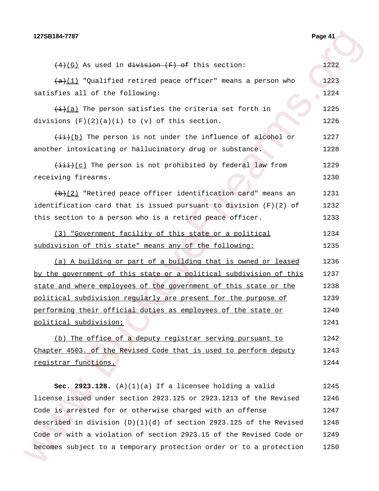| 127SB184-7787                                                        | Page 41 |
|----------------------------------------------------------------------|---------|
|                                                                      |         |
| $\frac{4+(G)}{G}$ As used in division $(F)$ of this section:         | 1222    |
| $\frac{a}{1}$ "Qualified retired peace officer" means a person who   | 1223    |
| satisfies all of the following:                                      | 1224    |
| $\frac{1}{i}$ (a) The person satisfies the criteria set forth in     | 1225    |
| divisions $(F)(2)(a)(i)$ to $(v)$ of this section.                   | 1226    |
| $\{\pm i\}/(b)$ The person is not under the influence of alcohol or  | 1227    |
| another intoxicating or hallucinatory drug or substance.             | 1228    |
| $\{\pm i\}$ (c) The person is not prohibited by federal law from     | 1229    |
| receiving firearms.                                                  | 1230    |
| $(b)$ "Retired peace officer identification card" means an           | 1231    |
| identification card that is issued pursuant to division $(F)(2)$ of  | 1232    |
| this section to a person who is a retired peace officer.             | 1233    |
| (3) "Government facility of this state or a political                | 1234    |
| subdivision of this state" means any of the following:               | 1235    |
| (a) A building or part of a building that is owned or leased         | 1236    |
| by the government of this state or a political subdivision of this   | 1237    |
| state and where employees of the government of this state or the     | 1238    |
| political subdivision regularly are present for the purpose of       | 1239    |
| performing their official duties as employees of the state or        | 1240    |
| political subdivision;                                               | 1241    |
| (b) The office of a deputy registrar serving pursuant to             | 1242    |
| Chapter 4503. of the Revised Code that is used to perform deputy     | 1243    |
| registrar functions.                                                 | 1244    |
| Sec. 2923.128. $(A)(1)(a)$ If a licensee holding a valid             | 1245    |
| license issued under section 2923.125 or 2923.1213 of the Revised    | 1246    |
| Code is arrested for or otherwise charged with an offense            | 1247    |
| described in division $(D)(1)(d)$ of section 2923.125 of the Revised | 1248    |
| Code or with a violation of section 2923.15 of the Revised Code or   | 1249    |
| becomes subject to a temporary protection order or to a protection   | 1250    |
|                                                                      |         |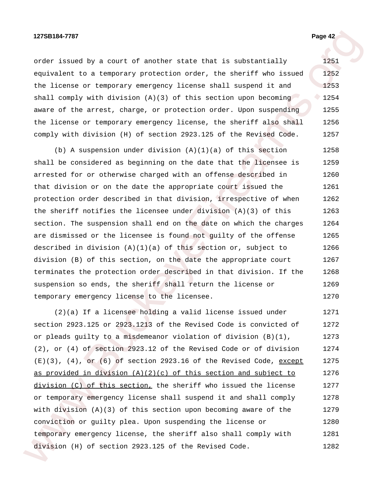order issued by a court of another state that is substantially equivalent to a temporary protection order, the sheriff who issued the license or temporary emergency license shall suspend it and shall comply with division (A)(3) of this section upon becoming aware of the arrest, charge, or protection order. Upon suspending the license or temporary emergency license, the sheriff also shall comply with division (H) of section 2923.125 of the Revised Code. 1251 1252 1253 1254 1255 1256 1257

(b) A suspension under division  $(A)(1)(a)$  of this section shall be considered as beginning on the date that the licensee is arrested for or otherwise charged with an offense described in that division or on the date the appropriate court issued the protection order described in that division, irrespective of when the sheriff notifies the licensee under division  $(A)(3)$  of this section. The suspension shall end on the date on which the charges are dismissed or the licensee is found not guilty of the offense described in division  $(A)(1)(a)$  of this section or, subject to division (B) of this section, on the date the appropriate court terminates the protection order described in that division. If the suspension so ends, the sheriff shall return the license or temporary emergency license to the licensee. 1258 1259 1260 1261 1262 1263 1264 1265 1266 1267 1268 1269 1270 **PROBATE 197811847797**<br> **PROB 42**<br>
cycle factor by a court of ancheler state that is a<br>checketta by 17831<br>
cycle context to a temporaty protection codes, the sheeled to at 1832<br>
the License or temporaty emergency license

(2)(a) If a licensee holding a valid license issued under section 2923.125 or 2923.1213 of the Revised Code is convicted of or pleads guilty to a misdemeanor violation of division (B)(1), (2), or (4) of section 2923.12 of the Revised Code or of division  $(E)(3)$ ,  $(4)$ , or  $(6)$  of section 2923.16 of the Revised Code, except as provided in division  $(A)(2)(c)$  of this section and subject to division (C) of this section, the sheriff who issued the license or temporary emergency license shall suspend it and shall comply with division  $(A)(3)$  of this section upon becoming aware of the conviction or guilty plea. Upon suspending the license or temporary emergency license, the sheriff also shall comply with division (H) of section 2923.125 of the Revised Code. 1271 1272 1273 1274 1275 1276 1277 1278 1279 1280 1281 1282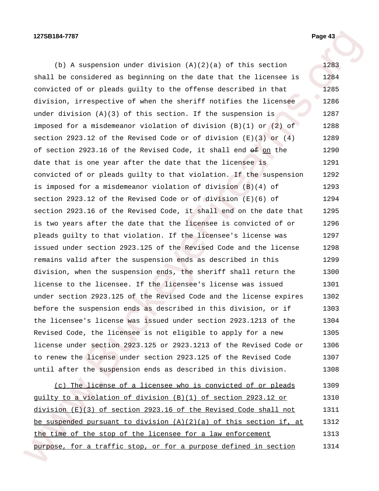| 127SB184-7787                                                        | Page 43 |
|----------------------------------------------------------------------|---------|
|                                                                      |         |
| (b) A suspension under division $(A)(2)(a)$ of this section          | 1283    |
| shall be considered as beginning on the date that the licensee is    | 1284    |
| convicted of or pleads guilty to the offense described in that       | 1285    |
| division, irrespective of when the sheriff notifies the licensee     | 1286    |
| under division $(A)(3)$ of this section. If the suspension is        | 1287    |
| imposed for a misdemeanor violation of division $(B)(1)$ or $(2)$ of | 1288    |
| section 2923.12 of the Revised Code or of division $(E)(3)$ or $(4)$ | 1289    |
| of section 2923.16 of the Revised Code, it shall end of on the       | 1290    |
| date that is one year after the date that the licensee is            | 1291    |
| convicted of or pleads guilty to that violation. If the suspension   | 1292    |
| is imposed for a misdemeanor violation of division (B)(4) of         | 1293    |
| section 2923.12 of the Revised Code or of division $(E)(6)$ of       | 1294    |
| section 2923.16 of the Revised Code, it shall end on the date that   | 1295    |
| is two years after the date that the licensee is convicted of or     | 1296    |
| pleads guilty to that violation. If the licensee's license was       | 1297    |
| issued under section 2923.125 of the Revised Code and the license    | 1298    |
| remains valid after the suspension ends as described in this         | 1299    |
| division, when the suspension ends, the sheriff shall return the     | 1300    |
| license to the licensee. If the licensee's license was issued        | 1301    |
| under section 2923.125 of the Revised Code and the license expires   | 1302    |
| before the suspension ends as described in this division, or if      | 1303    |
| the licensee's license was issued under section 2923.1213 of the     | 1304    |
| Revised Code, the licensee is not eligible to apply for a new        | 1305    |
| license under section 2923.125 or 2923.1213 of the Revised Code or   | 1306    |
| to renew the license under section 2923.125 of the Revised Code      | 1307    |
| until after the suspension ends as described in this division.       | 1308    |
| (c) The license of a licensee who is convicted of or pleads          | 1309    |
| guilty to a violation of division (B)(1) of section 2923.12 or       | 1310    |
| division (E)(3) of section 2923.16 of the Revised Code shall not     | 1311    |
| be suspended pursuant to division $(A)(2)(a)$ of this section if, at | 1312    |
| the time of the stop of the licensee for a law enforcement           | 1313    |
| purpose, for a traffic stop, or for a purpose defined in section     | 1314    |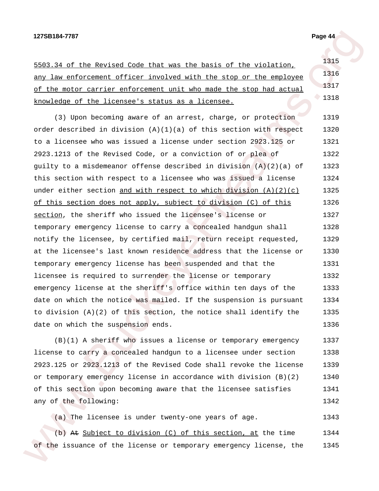5503.34 of the Revised Code that was the basis of the violation, any law enforcement officer involved with the stop or the employee of the motor carrier enforcement unit who made the stop had actual knowledge of the licensee's status as a licensee. 1315 1316 1317 1318

(3) Upon becoming aware of an arrest, charge, or protection order described in division  $(A)(1)(a)$  of this section with respect to a licensee who was issued a license under section 2923.125 or 2923.1213 of the Revised Code, or a conviction of or plea of guilty to a misdemeanor offense described in division (A)(2)(a) of this section with respect to a licensee who was issued a license under either section and with respect to which division  $(A)(2)(c)$ of this section does not apply, subject to division (C) of this section, the sheriff who issued the licensee's license or temporary emergency license to carry a concealed handgun shall notify the licensee, by certified mail, return receipt requested, at the licensee's last known residence address that the license or temporary emergency license has been suspended and that the licensee is required to surrender the license or temporary emergency license at the sheriff's office within ten days of the date on which the notice was mailed. If the suspension is pursuant to division (A)(2) of this section, the notice shall identify the date on which the suspension ends. 1319 1320 1321 1322 1323 1324 1325 1326 1327 1328 1329 1330 1331 1332 1333 1334 1335 1336 1278811447787<br>
We aputities the Beneficial Code these was the basis of the visibation,<br>
when the color carrier entorcement unit who made the sign basis and<br>
the moder carrier entorcement unit who made the sign basis and<br>

(B)(1) A sheriff who issues a license or temporary emergency license to carry a concealed handgun to a licensee under section 2923.125 or 2923.1213 of the Revised Code shall revoke the license or temporary emergency license in accordance with division (B)(2) of this section upon becoming aware that the licensee satisfies any of the following: 1337 1338 1339 1340 1341 1342

(a) The licensee is under twenty-one years of age. 1343

(b) At Subject to division (C) of this section, at the time of the issuance of the license or temporary emergency license, the 1344 1345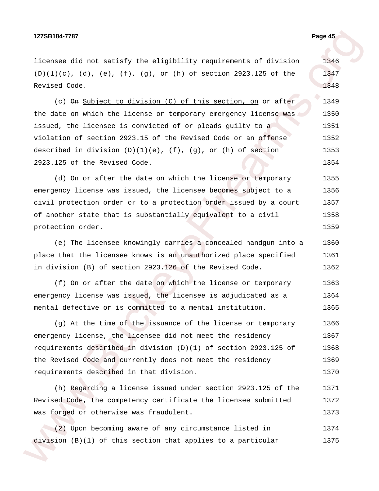(c) On Subject to division (C) of this section, on or after the date on which the license or temporary emergency license was issued, the licensee is convicted of or pleads guilty to a violation of section 2923.15 of the Revised Code or an offense described in division  $(D)(1)(e)$ ,  $(f)$ ,  $(g)$ , or  $(h)$  of section 2923.125 of the Revised Code. 1349 1350 1351 1352 1353 1354 www.BuckeyeFirearms.org

(d) On or after the date on which the license or temporary emergency license was issued, the licensee becomes subject to a civil protection order or to a protection order issued by a court of another state that is substantially equivalent to a civil protection order. 1355 1356 1357 1358 1359

(e) The licensee knowingly carries a concealed handgun into a place that the licensee knows is an unauthorized place specified in division (B) of section 2923.126 of the Revised Code. 1360 1361 1362

(f) On or after the date on which the license or temporary emergency license was issued, the licensee is adjudicated as a mental defective or is committed to a mental institution. 1363 1364 1365

(g) At the time of the issuance of the license or temporary emergency license, the licensee did not meet the residency requirements described in division (D)(1) of section 2923.125 of the Revised Code and currently does not meet the residency requirements described in that division. 1366 1367 1368 1369 1370

(h) Regarding a license issued under section 2923.125 of the Revised Code, the competency certificate the licensee submitted was forged or otherwise was fraudulent. 1371 1372 1373

(2) Upon becoming aware of any circumstance listed in division  $(B)(1)$  of this section that applies to a particular 1374 1375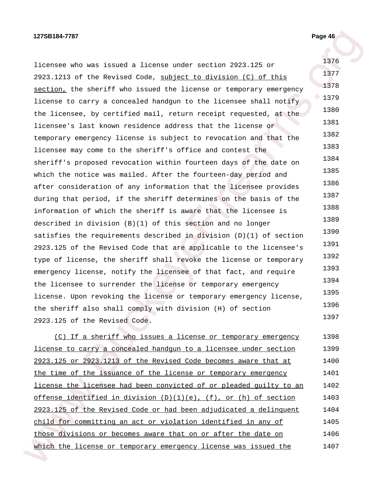| 127SB184-7787                                                            | Page 46 |
|--------------------------------------------------------------------------|---------|
|                                                                          |         |
| licensee who was issued a license under section 2923.125 or              | 1376    |
| 2923.1213 of the Revised Code, subject to division (C) of this           | 1377    |
| section, the sheriff who issued the license or temporary emergency       | 1378    |
| license to carry a concealed handgun to the licensee shall notify        | 1379    |
| the licensee, by certified mail, return receipt requested, at the        | 1380    |
| licensee's last known residence address that the license or              | 1381    |
| temporary emergency license is subject to revocation and that the        | 1382    |
| licensee may come to the sheriff's office and contest the                | 1383    |
| sheriff's proposed revocation within fourteen days of the date on        | 1384    |
| which the notice was mailed. After the fourteen-day period and           | 1385    |
| after consideration of any information that the licensee provides        | 1386    |
| during that period, if the sheriff determines on the basis of the        | 1387    |
| information of which the sheriff is aware that the licensee is           | 1388    |
| described in division $(B)(1)$ of this section and no longer             | 1389    |
| satisfies the requirements described in division $(D)(1)$ of section     | 1390    |
| 2923.125 of the Revised Code that are applicable to the licensee's       | 1391    |
| type of license, the sheriff shall revoke the license or temporary       | 1392    |
| emergency license, notify the licensee of that fact, and require         | 1393    |
| the licensee to surrender the license or temporary emergency             | 1394    |
| license. Upon revoking the license or temporary emergency license,       | 1395    |
| the sheriff also shall comply with division (H) of section               | 1396    |
| 2923.125 of the Revised Code.                                            | 1397    |
|                                                                          |         |
| (C) If a sheriff who issues a license or temporary emergency             | 1398    |
| license to carry a concealed handqun to a licensee under section         | 1399    |
| 2923.125 or 2923.1213 of the Revised Code becomes aware that at          | 1400    |
| the time of the issuance of the license or temporary emergency           | 1401    |
| license the licensee had been convicted of or pleaded quilty to an       | 1402    |
| offense identified in division $(D)(1)(e)$ , $(f)$ , or $(h)$ of section | 1403    |
| 2923.125 of the Revised Code or had been adjudicated a delinquent        | 1404    |
| child for committing an act or violation identified in any of            | 1405    |
| those divisions or becomes aware that on or after the date on            | 1406    |
| which the license or temporary emergency license was issued the          | 1407    |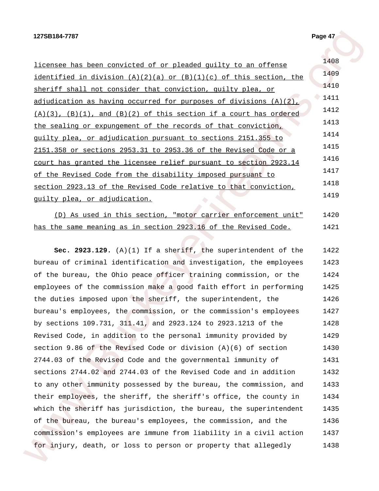| licensee has been convicted of or pleaded quilty to an offense               | 1408 |
|------------------------------------------------------------------------------|------|
| identified in division $(A)(2)(a)$ or $(B)(1)(c)$ of this section, the       | 1409 |
| sheriff shall not consider that conviction, quilty plea, or                  | 1410 |
| adjudication as having occurred for purposes of divisions $(A)(2)$           | 1411 |
| $(B)(1)$ , and $(B)(2)$ of this section if a court has ordered<br>$(A)(3)$ . | 1412 |
| the sealing or expungement of the records of that conviction,                | 1413 |
| guilty plea, or adjudication pursuant to sections 2151.355 to                | 1414 |
| 2151.358 or sections 2953.31 to 2953.36 of the Revised Code or a             | 1415 |
| court has granted the licensee relief pursuant to section 2923.14            | 1416 |
| of the Revised Code from the disability imposed pursuant to                  | 1417 |
| section 2923.13 of the Revised Code relative to that conviction,             | 1418 |
| quilty plea, or adjudication.                                                | 1419 |
|                                                                              |      |

(D) As used in this section, "motor carrier enforcement unit" has the same meaning as in section 2923.16 of the Revised Code. 1420 1421

**Sec. 2923.129.** (A)(1) If a sheriff, the superintendent of the bureau of criminal identification and investigation, the employees of the bureau, the Ohio peace officer training commission, or the employees of the commission make a good faith effort in performing the duties imposed upon the sheriff, the superintendent, the bureau's employees, the commission, or the commission's employees by sections 109.731, 311.41, and 2923.124 to 2923.1213 of the Revised Code, in addition to the personal immunity provided by section 9.86 of the Revised Code or division (A)(6) of section 2744.03 of the Revised Code and the governmental immunity of sections 2744.02 and 2744.03 of the Revised Code and in addition to any other immunity possessed by the bureau, the commission, and their employees, the sheriff, the sheriff's office, the county in which the sheriff has jurisdiction, the bureau, the superintendent of the bureau, the bureau's employees, the commission, and the commission's employees are immune from liability in a civil action for injury, death, or loss to person or property that allegedly 1422 1423 1424 1425 1426 1427 1428 1429 1430 1431 1432 1433 1434 1435 1436 1437 1438 www.BuckeyeFirearms.org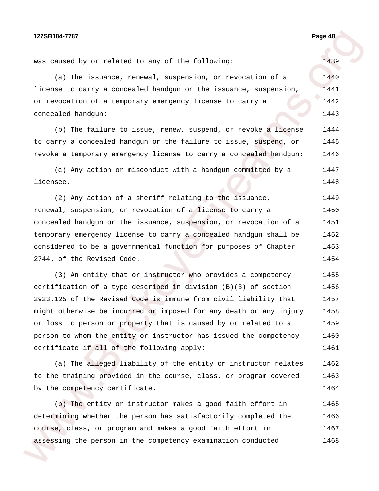was caused by or related to any of the following: 1439

(a) The issuance, renewal, suspension, or revocation of a license to carry a concealed handgun or the issuance, suspension, or revocation of a temporary emergency license to carry a concealed handgun; 1440 1441 1442 1443

(b) The failure to issue, renew, suspend, or revoke a license to carry a concealed handgun or the failure to issue, suspend, or revoke a temporary emergency license to carry a concealed handgun; 1444 1445 1446

(c) Any action or misconduct with a handgun committed by a licensee. 1447 1448

(2) Any action of a sheriff relating to the issuance, renewal, suspension, or revocation of a license to carry a concealed handgun or the issuance, suspension, or revocation of a temporary emergency license to carry a concealed handgun shall be considered to be a governmental function for purposes of Chapter 2744. of the Revised Code. 1449 1450 1451 1452 1453 1454

(3) An entity that or instructor who provides a competency certification of a type described in division (B)(3) of section 2923.125 of the Revised Code is immune from civil liability that might otherwise be incurred or imposed for any death or any injury or loss to person or property that is caused by or related to a person to whom the entity or instructor has issued the competency certificate if all of the following apply: 1455 1456 1457 1458 1459 1460 1461 **127881847787**<br>
vas occased by or related to any of the following:<br>
(a) The issuance, suggened, or revocation of a<br>
14839<br>
(dones to carry a concealier languar or the issuance, suggened by<br>
(dones to carry a concealier la

(a) The alleged liability of the entity or instructor relates to the training provided in the course, class, or program covered by the competency certificate. 1462 1463 1464

(b) The entity or instructor makes a good faith effort in determining whether the person has satisfactorily completed the course, class, or program and makes a good faith effort in assessing the person in the competency examination conducted 1465 1466 1467 1468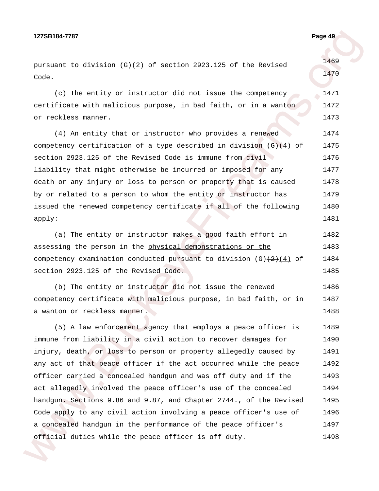1469 1470

pursuant to division (G)(2) of section 2923.125 of the Revised Code.

(c) The entity or instructor did not issue the competency certificate with malicious purpose, in bad faith, or in a wanton or reckless manner. 1471 1472 1473

(4) An entity that or instructor who provides a renewed competency certification of a type described in division (G)(4) of section 2923.125 of the Revised Code is immune from civil liability that might otherwise be incurred or imposed for any death or any injury or loss to person or property that is caused by or related to a person to whom the entity or instructor has issued the renewed competency certificate if all of the following apply: 1474 1475 1476 1477 1478 1479 1480 1481

(a) The entity or instructor makes a good faith effort in assessing the person in the physical demonstrations or the competency examination conducted pursuant to division  $(G)(\frac{2}{2})(4)$  of section 2923.125 of the Revised Code. 1482 1483 1484 1485

(b) The entity or instructor did not issue the renewed competency certificate with malicious purpose, in bad faith, or in a wanton or reckless manner. 1486 1487 1488

(5) A law enforcement agency that employs a peace officer is immune from liability in a civil action to recover damages for injury, death, or loss to person or property allegedly caused by any act of that peace officer if the act occurred while the peace officer carried a concealed handgun and was off duty and if the act allegedly involved the peace officer's use of the concealed handgun. Sections 9.86 and 9.87, and Chapter 2744., of the Revised Code apply to any civil action involving a peace officer's use of a concealed handgun in the performance of the peace officer's official duties while the peace officer is off duty. 1489 1490 1491 1492 1493 1494 1495 1496 1497 1498 127881947797 Page 48<br>
parametric division (d)(2) of exciting a metric 2013.17% of the ferders of 1460<br>
Code.<br>
(c) The existly or instruction direct issue, the componency<br>
contribution with malindring gampses, in bod issie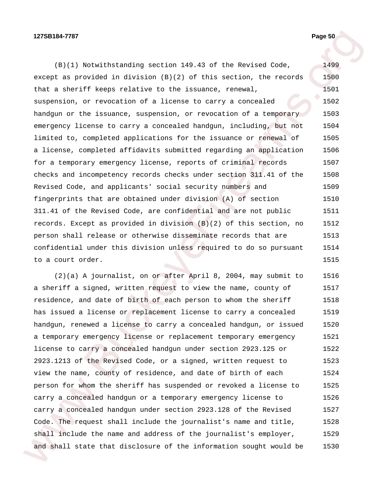(B)(1) Notwithstanding section 149.43 of the Revised Code, except as provided in division (B)(2) of this section, the records that a sheriff keeps relative to the issuance, renewal, suspension, or revocation of a license to carry a concealed handgun or the issuance, suspension, or revocation of a temporary emergency license to carry a concealed handgun, including, but not limited to, completed applications for the issuance or renewal of a license, completed affidavits submitted regarding an application for a temporary emergency license, reports of criminal records checks and incompetency records checks under section 311.41 of the Revised Code, and applicants' social security numbers and fingerprints that are obtained under division (A) of section 311.41 of the Revised Code, are confidential and are not public records. Except as provided in division (B)(2) of this section, no person shall release or otherwise disseminate records that are confidential under this division unless required to do so pursuant to a court order. 1499 1500 1501 1502 1503 1504 1505 1506 1507 1508 1509 1510 1511 1512 1513 1514 1515 **127881847787**<br>
Weight (5)(1) Workithatanding morelan 149.4% of the feating Code, 1499<br>
weight as provided in circlesion (310) of this weight<br>
that a metric temperature of corresponding to the secondary of the<br>
component

(2)(a) A journalist, on or after April 8, 2004, may submit to a sheriff a signed, written request to view the name, county of residence, and date of birth of each person to whom the sheriff has issued a license or replacement license to carry a concealed handgun, renewed a license to carry a concealed handgun, or issued a temporary emergency license or replacement temporary emergency license to carry a concealed handgun under section 2923.125 or 2923.1213 of the Revised Code, or a signed, written request to view the name, county of residence, and date of birth of each person for whom the sheriff has suspended or revoked a license to carry a concealed handgun or a temporary emergency license to carry a concealed handgun under section 2923.128 of the Revised Code. The request shall include the journalist's name and title, shall include the name and address of the journalist's employer, and shall state that disclosure of the information sought would be 1516 1517 1518 1519 1520 1521 1522 1523 1524 1525 1526 1527 1528 1529 1530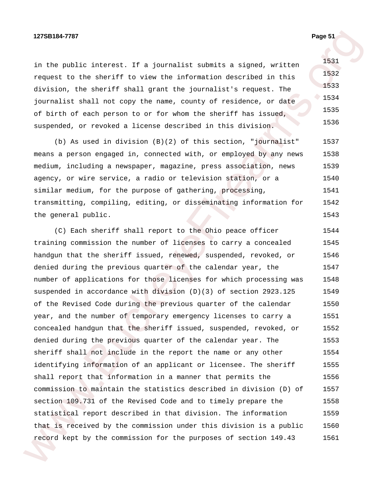in the public interest. If a journalist submits a signed, written request to the sheriff to view the information described in this division, the sheriff shall grant the journalist's request. The journalist shall not copy the name, county of residence, or date of birth of each person to or for whom the sheriff has issued, suspended, or revoked a license described in this division.

(b) As used in division (B)(2) of this section, "journalist" means a person engaged in, connected with, or employed by any news medium, including a newspaper, magazine, press association, news agency, or wire service, a radio or television station, or a similar medium, for the purpose of gathering, processing, transmitting, compiling, editing, or disseminating information for the general public. 1537 1538 1539 1540 1541 1542 1543

(C) Each sheriff shall report to the Ohio peace officer training commission the number of licenses to carry a concealed handgun that the sheriff issued, renewed, suspended, revoked, or denied during the previous quarter of the calendar year, the number of applications for those licenses for which processing was suspended in accordance with division (D)(3) of section 2923.125 of the Revised Code during the previous quarter of the calendar year, and the number of temporary emergency licenses to carry a concealed handgun that the sheriff issued, suspended, revoked, or denied during the previous quarter of the calendar year. The sheriff shall not include in the report the name or any other identifying information of an applicant or licensee. The sheriff shall report that information in a manner that permits the commission to maintain the statistics described in division (D) of section 109.731 of the Revised Code and to timely prepare the statistical report described in that division. The information that is received by the commission under this division is a public record kept by the commission for the purposes of section 149.43 1544 1545 1546 1547 1548 1549 1550 1551 1552 1553 1554 1555 1556 1557 1558 1559 1560 1561 **1278811447787**<br> **Page 51**<br> **Experience to the strained state and the strained a signed, written 1887**<br> **Experience to the strained in the strained in this sympatry of the strained in this sympatric bulker is the strained**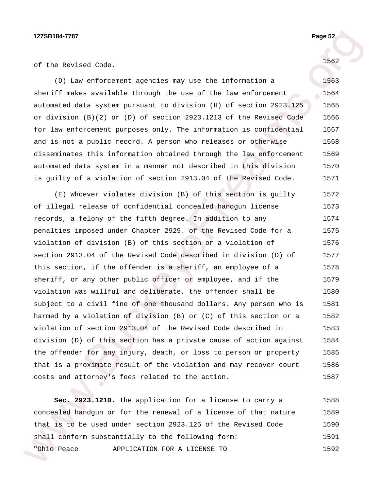of the Revised Code. 1562

(D) Law enforcement agencies may use the information a sheriff makes available through the use of the law enforcement automated data system pursuant to division (H) of section 2923.125 or division (B)(2) or (D) of section 2923.1213 of the Revised Code for law enforcement purposes only. The information is confidential and is not a public record. A person who releases or otherwise disseminates this information obtained through the law enforcement automated data system in a manner not described in this division is guilty of a violation of section 2913.04 of the Revised Code. 1563 1564 1565 1566 1567 1568 1569 1570 1571

(E) Whoever violates division (B) of this section is guilty of illegal release of confidential concealed handgun license records, a felony of the fifth degree. In addition to any penalties imposed under Chapter 2929. of the Revised Code for a violation of division (B) of this section or a violation of section 2913.04 of the Revised Code described in division (D) of this section, if the offender is a sheriff, an employee of a sheriff, or any other public officer or employee, and if the violation was willful and deliberate, the offender shall be subject to a civil fine of one thousand dollars. Any person who is harmed by a violation of division (B) or (C) of this section or a violation of section 2913.04 of the Revised Code described in division (D) of this section has a private cause of action against the offender for any injury, death, or loss to person or property that is a proximate result of the violation and may recover court costs and attorney's fees related to the action. 1572 1573 1574 1575 1576 1577 1578 1579 1580 1581 1582 1583 1584 1585 1586 1587 127881947787 Page 92<br>
c'he herviest dooie, enezy e ten information a 1957<br>
c'he herviest acord lobb through the use of the law entrorement<br>
according to the use of the law energy parameter of division of (e section 2023-1

**Sec. 2923.1210.** The application for a license to carry a concealed handgun or for the renewal of a license of that nature that is to be used under section 2923.125 of the Revised Code shall conform substantially to the following form: 1588 1589 1590 1591 "Ohio Peace APPLICATION FOR A LICENSE TO 1592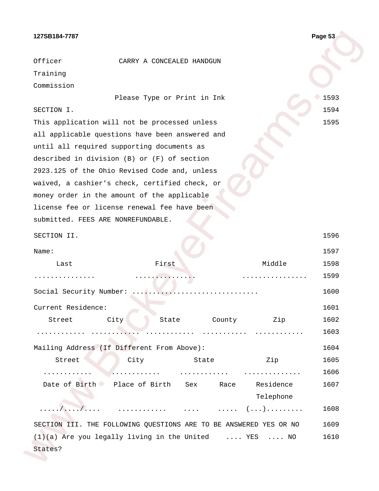## SECTION I. 1594

| 127SB184-7787           |                                                                   |                  | Page 53 |
|-------------------------|-------------------------------------------------------------------|------------------|---------|
|                         |                                                                   |                  |         |
| Officer                 | CARRY A CONCEALED HANDGUN                                         |                  |         |
| Training                |                                                                   |                  |         |
| Commission              |                                                                   |                  |         |
|                         | Please Type or Print in Ink                                       |                  | 1593    |
| SECTION I.              |                                                                   |                  | 1594    |
|                         | This application will not be processed unless                     |                  | 1595    |
|                         | all applicable questions have been answered and                   |                  |         |
|                         | until all required supporting documents as                        |                  |         |
|                         | described in division (B) or (F) of section                       |                  |         |
|                         | 2923.125 of the Ohio Revised Code and, unless                     |                  |         |
|                         | waived, a cashier's check, certified check, or                    |                  |         |
|                         | money order in the amount of the applicable                       |                  |         |
|                         | license fee or license renewal fee have been                      |                  |         |
|                         | submitted. FEES ARE NONREFUNDABLE.                                |                  |         |
| SECTION II.             |                                                                   |                  | 1596    |
| Name:                   |                                                                   |                  | 1597    |
| Last                    | First                                                             | Middle           | 1598    |
|                         |                                                                   |                  | 1599    |
| Social Security Number: |                                                                   |                  | 1600    |
| Current Residence:      |                                                                   |                  | 1601    |
| Street City             |                                                                   | State County Zip | 1602    |
|                         |                                                                   |                  | 1603    |
|                         | Mailing Address (If Different From Above):                        |                  | 1604    |
| Street                  | City State                                                        | Zip              | 1605    |
|                         |                                                                   |                  | 1606    |
|                         | Date of Birth Place of Birth Sex Race Residence                   |                  | 1607    |
|                         |                                                                   | Telephone        |         |
|                         |                                                                   |                  | 1608    |
|                         | SECTION III. THE FOLLOWING QUESTIONS ARE TO BE ANSWERED YES OR NO |                  | 1609    |
|                         | $(1)(a)$ Are you legally living in the United  YES  NO            |                  | 1610    |
| States?                 |                                                                   |                  |         |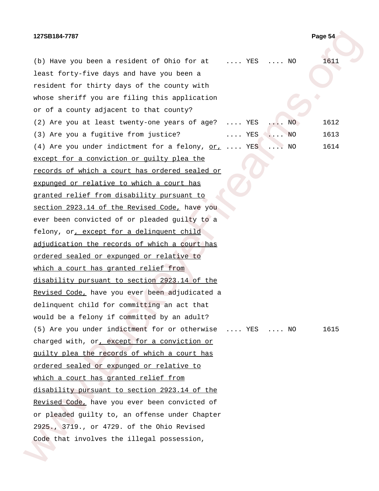| 127SB184-7787                                          |              |             |     | Page 54 |
|--------------------------------------------------------|--------------|-------------|-----|---------|
|                                                        |              |             |     |         |
| (b) Have you been a resident of Ohio for at  YES       |              | $\ldots$ NO |     | 1611    |
| least forty-five days and have you been a              |              |             |     |         |
| resident for thirty days of the county with            |              |             |     |         |
| whose sheriff you are filing this application          |              |             |     |         |
| or of a county adjacent to that county?                |              |             |     |         |
| (2) Are you at least twenty-one years of age?          | $\ldots$ YES | $\ldots$ NO |     | 1612    |
| (3) Are you a fugitive from justice?                   | $\ldots$ YES | $\ldots$ NO |     | 1613    |
| (4) Are you under indictment for a felony, $or$ ,  YES |              |             | NO. | 1614    |
| except for a conviction or guilty plea the             |              |             |     |         |
| records of which a court has ordered sealed or         |              |             |     |         |
| expunged or relative to which a court has              |              |             |     |         |
| granted relief from disability pursuant to             |              |             |     |         |
| section 2923.14 of the Revised Code, have you          |              |             |     |         |
| ever been convicted of or pleaded guilty to a          |              |             |     |         |
| felony, or, except for a delinquent child              |              |             |     |         |
| adjudication the records of which a court has          |              |             |     |         |
| ordered sealed or expunged or relative to              |              |             |     |         |
| which a court has granted relief from                  |              |             |     |         |
| disability pursuant to section 2923.14 of the          |              |             |     |         |
| Revised Code, have you ever been adjudicated a         |              |             |     |         |
| delinquent child for committing an act that            |              |             |     |         |
| would be a felony if committed by an adult?            |              |             |     |         |
| (5) Are you under indictment for or otherwise  YES  NO |              |             |     | 1615    |
| charged with, or, except for a conviction or           |              |             |     |         |
| guilty plea the records of which a court has           |              |             |     |         |
| ordered sealed or expunged or relative to              |              |             |     |         |
| which a court has granted relief from                  |              |             |     |         |
| disability pursuant to section 2923.14 of the          |              |             |     |         |
| Revised Code, have you ever been convicted of          |              |             |     |         |
| or pleaded guilty to, an offense under Chapter         |              |             |     |         |
| 2925., 3719., or 4729. of the Ohio Revised             |              |             |     |         |
| Code that involves the illegal possession,             |              |             |     |         |
|                                                        |              |             |     |         |
|                                                        |              |             |     |         |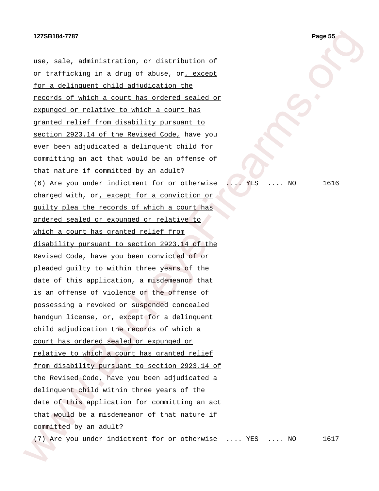use, sale, administration, or distribution of or trafficking in a drug of abuse, or, except for a delinquent child adjudication the records of which a court has ordered sealed or expunged or relative to which a court has granted relief from disability pursuant to section 2923.14 of the Revised Code, have you ever been adjudicated a delinquent child for committing an act that would be an offense of that nature if committed by an adult? (6) Are you under indictment for or otherwise charged with, or, except for a conviction or guilty plea the records of which a court has ordered sealed or expunged or relative to which a court has granted relief from disability pursuant to section 2923.14 of the Revised Code, have you been convicted of or pleaded guilty to within three years of the date of this application, a misdemeanor that is an offense of violence or the offense of possessing a revoked or suspended concealed handgun license, or, except for a delinquent child adjudication the records of which a court has ordered sealed or expunged or relative to which a court has granted relief from disability pursuant to section 2923.14 of the Revised Code, have you been adjudicated a delinquent child within three years of the date of this application for committing an act that would be a misdemeanor of that nature if committed by an adult? (7) Are you under indictment for or otherwise .... YES .... NO 1617 127861144779<br>
www. sale, administration, or distribution of<br>
the sale, administration, or distribution to<br>
for a delibroned critical adicalization the<br>
convents of which a constraint mask of<br>
convents of which a constrain

YES .... NO 1616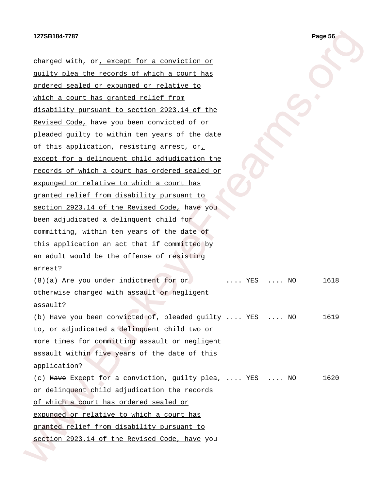charged with, or, except for a conviction or guilty plea the records of which a court has ordered sealed or expunged or relative to which a court has granted relief from disability pursuant to section 2923.14 of the Revised Code, have you been convicted of or pleaded guilty to within ten years of the date of this application, resisting arrest, or except for a delinquent child adjudication the records of which a court has ordered sealed or expunged or relative to which a court has granted relief from disability pursuant to section 2923.14 of the Revised Code, have you been adjudicated a delinquent child for committing, within ten years of the date of this application an act that if committed by an adult would be the offense of resisting arrest? (8)(a) Are you under indictment for or otherwise charged with assault or negligent assault? .... YES .... NO 1618 (b) Have you been convicted of, pleaded guilty .... YES .... NO 1619 to, or adjudicated a delinquent child two or more times for committing assault or negligent assault within five years of the date of this application? (c) Have Except for a conviction, quilty plea, .... YES .... NO 1620 or delinquent child adjudication the records of which a court has ordered sealed or expunged or relative to which a court has granted relief from disability pursuant to section 2923.14 of the Revised Code, have you 127861144779<br>
charged with, or <u>except for a conviction or</u><br>
charged with, or <u>except for a conviction or</u><br>
conviction of the second or except for a single second<br>
conviction of the second or except for the second of the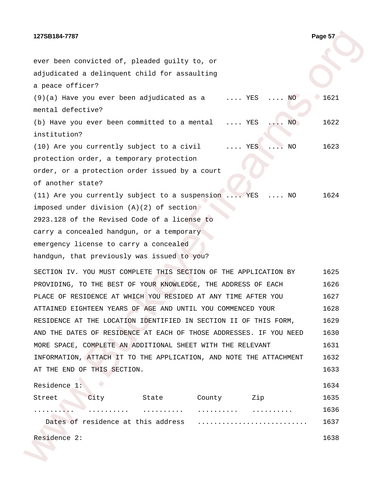ever been convicted of, pleaded guilty to, or adjudicated a delinquent child for assaulting a peace officer? (9)(a) Have you ever been adjudicated as a .... YES .... NO 1621 mental defective? (b) Have you ever been committed to a mental .... YES ... NO 1622 institution? (10) Are you currently subject to a civil protection order, a temporary protection order, or a protection order issued by a court of another state? .... YES .... NO 1623 (11) Are you currently subject to a suspension .... YES .... NO 1624 imposed under division (A)(2) of section 2923.128 of the Revised Code of a license to carry a concealed handgun, or a temporary emergency license to carry a concealed handgun, that previously was issued to you? SECTION IV. YOU MUST COMPLETE THIS SECTION OF THE APPLICATION BY PROVIDING, TO THE BEST OF YOUR KNOWLEDGE, THE ADDRESS OF EACH PLACE OF RESIDENCE AT WHICH YOU RESIDED AT ANY TIME AFTER YOU ATTAINED EIGHTEEN YEARS OF AGE AND UNTIL YOU COMMENCED YOUR RESIDENCE AT THE LOCATION IDENTIFIED IN SECTION II OF THIS FORM, AND THE DATES OF RESIDENCE AT EACH OF THOSE ADDRESSES. IF YOU NEED MORE SPACE, COMPLETE AN ADDITIONAL SHEET WITH THE RELEVANT INFORMATION, ATTACH IT TO THE APPLICATION, AND NOTE THE ATTACHMENT AT THE END OF THIS SECTION. 1625 1626 1627 1628 1629 1630 1631 1632 1633 Residence 1: 1634 Street City State County Zip 1635 .......... .......... .......... .......... .......... 1636 Dates of residence at this address ........................... 1637 127881947787<br>
were been convicted of, pleased grillty to, or<br>
subgalaction a selective;<br>
subgalaction a proce of firearms child for assembling<br>
subgalaction as a complete of the system adjudicated as a complete the<br>
1911

Residence 2: 1638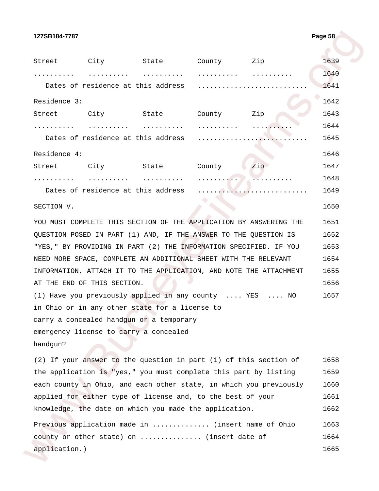# Street City State County Zip 1639 .......... .......... .......... .......... .......... 1640 Dates of residence at this address ........................... 1641 Residence 3: 1642 Street City State County Zip 1643 .......... .......... .......... .......... .......... 1644 Dates of residence at this address ........................... 1645 Residence 4: 1646 Street City State County Zip 1647 .......... .......... .......... .......... .......... 1648 Dates of residence at this address ........................... 1649 SECTION V. 1650 YOU MUST COMPLETE THIS SECTION OF THE APPLICATION BY ANSWERING THE QUESTION POSED IN PART (1) AND, IF THE ANSWER TO THE QUESTION IS "YES," BY PROVIDING IN PART (2) THE INFORMATION SPECIFIED. IF YOU NEED MORE SPACE, COMPLETE AN ADDITIONAL SHEET WITH THE RELEVANT INFORMATION, ATTACH IT TO THE APPLICATION, AND NOTE THE ATTACHMENT AT THE END OF THIS SECTION. 1651 1652 1653 1654 1655 1656 (1) Have you previously applied in any county .... YES .... NO 1657 in Ohio or in any other state for a license to carry a concealed handgun or a temporary emergency license to carry a concealed handgun? (2) If your answer to the question in part (1) of this section of the application is "yes," you must complete this part by listing 1658 1659 **1275811447787**<br>
Street City State Country Rip 1889<br>
Date of celebrone at this endcress<br>
Tates of celebrone at this endcress<br>
Street City State Cuminy Zip 1841<br>
Real descriptions of the country Zip 1843<br>
Street City State

knowledge, the date on which you made the application. 1662 Previous application made in .............. (insert name of Ohio county or other state) on ............... (insert date of application.) 1663 1664 1665

each county in Ohio, and each other state, in which you previously

applied for either type of license and, to the best of your

1660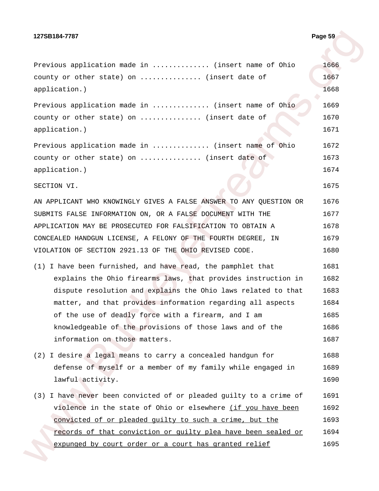```
Previous application made in .............. (insert name of Ohio
  county or other state) on ............... (insert date of
  application.)
                                                                     1666
                                                                     1667
                                                                     1668
  Previous application made in .............. (insert name of Ohio
  county or other state) on ............... (insert date of
  application.)
                                                                     1669
                                                                     1670
                                                                     1671
  Previous application made in ............... (insert name of Ohio
  county or other state) on ................ (insert date of
  application.)
                                                                     1672
                                                                     1673
                                                                     1674
  SECTION VI. 1675
  AN APPLICANT WHO KNOWINGLY GIVES A FALSE ANSWER TO ANY QUESTION OR
  SUBMITS FALSE INFORMATION ON, OR A FALSE DOCUMENT WITH THE
  APPLICATION MAY BE PROSECUTED FOR FALSIFICATION TO OBTAIN A
  CONCEALED HANDGUN LICENSE, A FELONY OF THE FOURTH DEGREE, IN
  VIOLATION OF SECTION 2921.13 OF THE OHIO REVISED CODE.
                                                                     1676
                                                                     1677
                                                                     1678
                                                                     1679
                                                                     1680
  (1) I have been furnished, and have read, the pamphlet that
       explains the Ohio firearms laws, that provides instruction in
       dispute resolution and explains the Ohio laws related to that
      matter, and that provides information regarding all aspects
       of the use of deadly force with a firearm, and I am
       knowledgeable of the provisions of those laws and of the
       information on those matters.
                                                                     1681
                                                                     1682
                                                                     1683
                                                                     1684
                                                                     1685
                                                                     1686
                                                                     1687
  (2) I desire a legal means to carry a concealed handgun for
       defense of myself or a member of my family while engaged in
       lawful activity.
                                                                     1688
                                                                     1689
                                                                     1690
  (3) I have never been convicted of or pleaded guilty to a crime of
       violence in the state of Ohio or elsewhere <u>(if you have been</u>
       convicted of or pleaded guilty to such a crime, but the
       records of that conviction or guilty plea have been sealed or
       expunged by court order or a court has granted relief
                                                                     1691
                                                                     1692
                                                                     1693
                                                                     1694
                                                                     1695
www.BuckeyeFirearms.org
```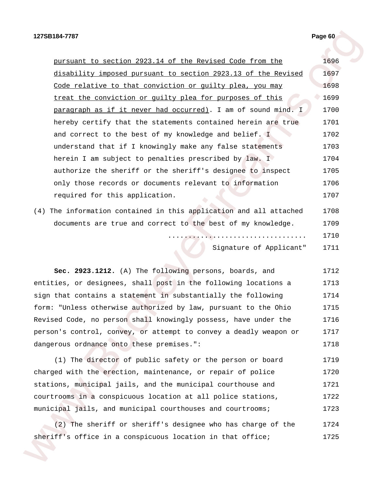| 127SB184-7787                                                         | Page 60 |
|-----------------------------------------------------------------------|---------|
| pursuant to section 2923.14 of the Revised Code from the              | 1696    |
| disability imposed pursuant to section 2923.13 of the Revised         | 1697    |
| Code relative to that conviction or quilty plea, you may              | 1698    |
| treat the conviction or quilty plea for purposes of this              | 1699    |
| paragraph as if it never had occurred). I am of sound mind. I         | 1700    |
| hereby certify that the statements contained herein are true          | 1701    |
| and correct to the best of my knowledge and belief. I                 | 1702    |
| understand that if I knowingly make any false statements              | 1703    |
| herein I am subject to penalties prescribed by law. I                 | 1704    |
| authorize the sheriff or the sheriff's designee to inspect            | 1705    |
| only those records or documents relevant to information               | 1706    |
| required for this application.                                        | 1707    |
| The information contained in this application and all attached<br>(4) | 1708    |
| documents are true and correct to the best of my knowledge.           | 1709    |
| .                                                                     | 1710    |
| Signature of Applicant"                                               | 1711    |
| Sec. 2923.1212. (A) The following persons, boards, and                | 1712    |
| entities, or designees, shall post in the following locations a       | 1713    |
| sign that contains a statement in substantially the following         | 1714    |
| form: "Unless otherwise authorized by law, pursuant to the Ohio       | 1715    |
| Revised Code, no person shall knowingly possess, have under the       | 1716    |
| person's control, convey, or attempt to convey a deadly weapon or     | 1717    |
| dangerous ordnance onto these premises.":                             | 1718    |
| (1) The director of public safety or the person or board              | 1719    |
| charged with the erection, maintenance, or repair of police           | 1720    |
| stations, municipal jails, and the municipal courthouse and           | 1721    |
| courtrooms in a conspicuous location at all police stations,          | 1722    |
| municipal jails, and municipal courthouses and courtrooms;            | 1723    |
| (2) The sheriff or sheriff's designee who has charge of the           | 1724    |
| sheriff's office in a conspicuous location in that office;            | 1725    |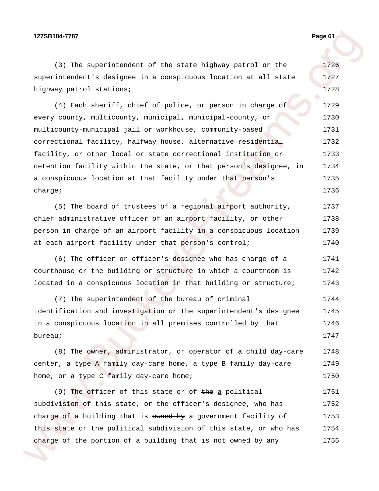(3) The superintendent of the state highway patrol or the superintendent's designee in a conspicuous location at all state highway patrol stations;

(4) Each sheriff, chief of police, or person in charge of every county, multicounty, municipal, municipal-county, or multicounty-municipal jail or workhouse, community-based correctional facility, halfway house, alternative residential facility, or other local or state correctional institution or detention facility within the state, or that person's designee, in a conspicuous location at that facility under that person's charge; 1729 1730 1731 1732 1733 1734 1735 1736 127881947787 Page 61<br>
(3) The appertmentare of the scalar highesy patrol or the 1778<br>
superiliced designes in a compute location at all state<br>
infigure parts) distincts:<br>
(4) Tore absents, other or goline, or gorano in ch

(5) The board of trustees of a regional airport authority, chief administrative officer of an airport facility, or other person in charge of an airport facility in a conspicuous location at each airport facility under that person's control; 1737 1738 1739 1740

(6) The officer or officer's designee who has charge of a courthouse or the building or structure in which a courtroom is located in a conspicuous location in that building or structure; 1741 1742 1743

(7) The superintendent of the bureau of criminal identification and investigation or the superintendent's designee in a conspicuous location in all premises controlled by that bureau; 1744 1745 1746 1747

(8) The owner, administrator, or operator of a child day-care center, a type A family day-care home, a type B family day-care home, or a type C family day-care home; 1748 1749 1750

(9) The officer of this state or of  $the$   $a$  political subdivision of this state, or the officer's designee, who has charge of a building that is owned by a government facility of this state or the political subdivision of this state, or who has charge of the portion of a building that is not owned by any 1751 1752 1753 1754 1755

1728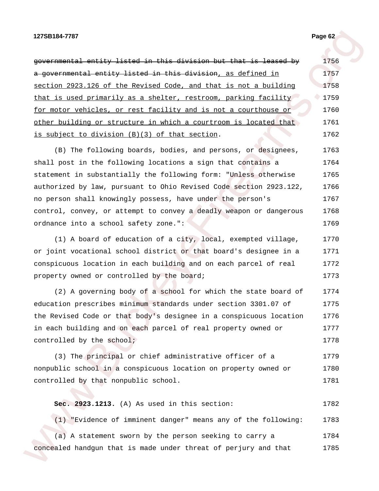governmental entity listed in this division but that is leased by a governmental entity listed in this division, as defined in section 2923.126 of the Revised Code, and that is not a building that is used primarily as a shelter, restroom, parking facility for motor vehicles, or rest facility and is not a courthouse or other building or structure in which a courtroom is located that 1756 1757 1758  $1759$ 1760 1761

(B) The following boards, bodies, and persons, or designees, shall post in the following locations a sign that contains a statement in substantially the following form: "Unless otherwise authorized by law, pursuant to Ohio Revised Code section 2923.122, no person shall knowingly possess, have under the person's control, convey, or attempt to convey a deadly weapon or dangerous ordnance into a school safety zone.": 1763 1764 1765 1766 1767 1768 1769 127881947787 Pape 62<br>
governmental-ensity (seed in this section but that estation but 1753<br>
generalization control in the form of the section of the section 1753<br>
generics. 2021.126 of the Accided Code, and that is not a

is subject to division (B)(3) of that section.

(1) A board of education of a city, local, exempted village, or joint vocational school district or that board's designee in a conspicuous location in each building and on each parcel of real property owned or controlled by the board; 1770 1771 1772 1773

(2) A governing body of a school for which the state board of education prescribes minimum standards under section 3301.07 of the Revised Code or that body's designee in a conspicuous location in each building and on each parcel of real property owned or controlled by the school; 1774 1775 1776 1777 1778

(3) The principal or chief administrative officer of a nonpublic school in a conspicuous location on property owned or controlled by that nonpublic school. 1779 1780 1781

## **Sec. 2923.1213.** (A) As used in this section: 1782

(1) "Evidence of imminent danger" means any of the following: 1783 (a) A statement sworn by the person seeking to carry a concealed handgun that is made under threat of perjury and that 1784 1785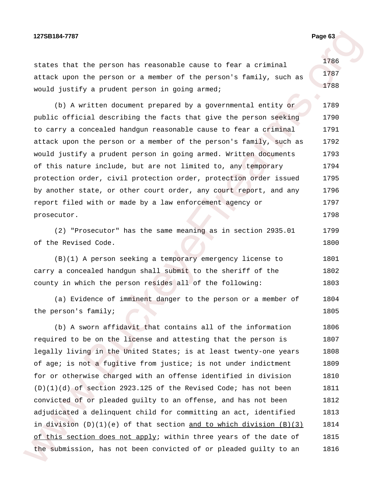states that the person has reasonable cause to fear a criminal attack upon the person or a member of the person's family, such as would justify a prudent person in going armed; 1786 1787 1788

(b) A written document prepared by a governmental entity or public official describing the facts that give the person seeking to carry a concealed handgun reasonable cause to fear a criminal attack upon the person or a member of the person's family, such as would justify a prudent person in going armed. Written documents of this nature include, but are not limited to, any temporary protection order, civil protection order, protection order issued by another state, or other court order, any court report, and any report filed with or made by a law enforcement agency or prosecutor. 1789 1790 1791 1792 1793 1794 1795 1796 1797 1798

(2) "Prosecutor" has the same meaning as in section 2935.01 of the Revised Code. 1799 1800

(B)(1) A person seeking a temporary emergency license to carry a concealed handgun shall submit to the sheriff of the county in which the person resides all of the following: 1801 1802 1803

(a) Evidence of imminent danger to the person or a member of the person's family; 1804 1805

(b) A sworn affidavit that contains all of the information required to be on the license and attesting that the person is legally living in the United States; is at least twenty-one years of age; is not a fugitive from justice; is not under indictment for or otherwise charged with an offense identified in division (D)(1)(d) of section 2923.125 of the Revised Code; has not been convicted of or pleaded guilty to an offense, and has not been adjudicated a delinquent child for committing an act, identified in division  $(D)(1)(e)$  of that section and to which division  $(B)(3)$ of this section does not apply; within three years of the date of the submission, has not been convicted of or pleaded guilty to an 1806 1807 1808 1809 1810 1811 1812 1813 1814 1815 1816 **1278811447787**<br> **PROPERTIES**<br> **Extract the person be areasonable doose to team a different in 1785<br>
<b>Extract upon the person or a desired of the personable doose to team and the set of the personal person or a desired of**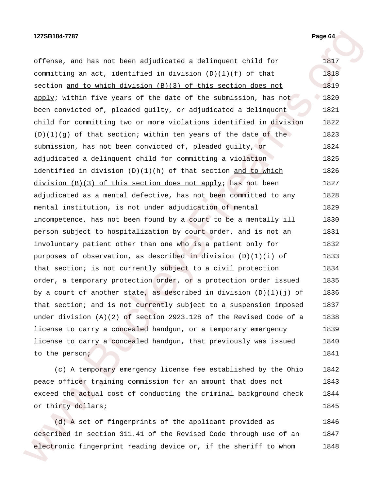offense, and has not been adjudicated a delinquent child for committing an act, identified in division  $(D)(1)(f)$  of that section and to which division (B)(3) of this section does not  $\frac{\text{apply}}{\text{output}}$  within five years of the date of the submission, has not been convicted of, pleaded guilty, or adjudicated a delinquent child for committing two or more violations identified in division  $(D)(1)(g)$  of that section; within ten years of the date of the submission, has not been convicted of, pleaded guilty, or adjudicated a delinquent child for committing a violation identified in division  $(D)(1)(h)$  of that section and to which division  $(B)(3)$  of this section does not apply; has not been adjudicated as a mental defective, has not been committed to any mental institution, is not under adjudication of mental incompetence, has not been found by a court to be a mentally ill person subject to hospitalization by court order, and is not an involuntary patient other than one who is a patient only for purposes of observation, as described in division  $(D)(1)(i)$  of that section; is not currently subject to a civil protection order, a temporary protection order, or a protection order issued by a court of another state, as described in division  $(D)(1)(j)$  of that section; and is not currently subject to a suspension imposed under division (A)(2) of section 2923.128 of the Revised Code of a license to carry a concealed handgun, or a temporary emergency license to carry a concealed handgun, that previously was issued to the person; 1817 1818 1819 1820 1821 1822 1823 1824 1825 1826 1827 1828 1829 1830 1831 1832 1833 1834 1835 1836 1837 1838 1839 1840 1841 **1278811447787**<br> **Page 64**<br>
critemes, and has not been adjusticated a definement of identic in the vertic maniform and to exist contained in the vertic matrix of the section of the section of the section of the section of

(c) A temporary emergency license fee established by the Ohio peace officer training commission for an amount that does not exceed the actual cost of conducting the criminal background check or thirty dollars; 1842 1843 1844 1845

(d) A set of fingerprints of the applicant provided as described in section 311.41 of the Revised Code through use of an electronic fingerprint reading device or, if the sheriff to whom 1846 1847 1848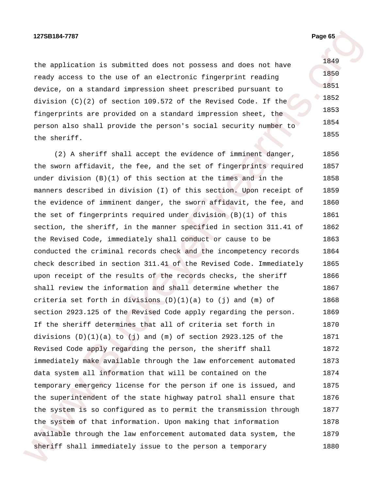the application is submitted does not possess and does not have ready access to the use of an electronic fingerprint reading device, on a standard impression sheet prescribed pursuant to division  $(C)(2)$  of section 109.572 of the Revised Code. If the fingerprints are provided on a standard impression sheet, the person also shall provide the person's social security number to the sheriff. 1849 1850 1851 1852 1853 1854 1855

(2) A sheriff shall accept the evidence of imminent danger, the sworn affidavit, the fee, and the set of fingerprints required under division (B)(1) of this section at the times and in the manners described in division (I) of this section. Upon receipt of the evidence of imminent danger, the sworn affidavit, the fee, and the set of fingerprints required under division (B)(1) of this section, the sheriff, in the manner specified in section 311.41 of the Revised Code, immediately shall conduct or cause to be conducted the criminal records check and the incompetency records check described in section 311.41 of the Revised Code. Immediately upon receipt of the results of the records checks, the sheriff shall review the information and shall determine whether the criteria set forth in divisions  $(D)(1)(a)$  to  $(j)$  and  $(m)$  of section 2923.125 of the Revised Code apply regarding the person. If the sheriff determines that all of criteria set forth in divisions  $(D)(1)(a)$  to  $(j)$  and  $(m)$  of section 2923.125 of the Revised Code apply regarding the person, the sheriff shall immediately make available through the law enforcement automated data system all information that will be contained on the temporary emergency license for the person if one is issued, and the superintendent of the state highway patrol shall ensure that the system is so configured as to permit the transmission through the system of that information. Upon making that information available through the law enforcement automated data system, the sheriff shall immediately issue to the person a temporary 1856 1857 1858 1859 1860 1861 1862 1863 1864 1865 1866 1867 1868 1869 1870 1871 1872 1873 1874 1875 1876 1877 1878 1879 1880 **1278811447797**<br>
The application is auxemited does nor poseese and does nor have 1849<br>
The application is auxemited does nor poseese and does nor have 1849<br>
Idevice, on a standard inpression shoet preseribled pursuant to<br>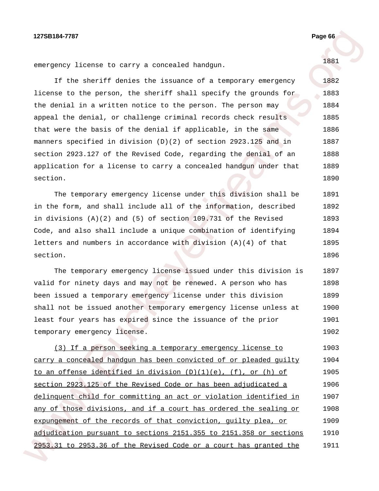emergency license to carry a concealed handgun. <sup>1881</sup>

If the sheriff denies the issuance of a temporary emergency license to the person, the sheriff shall specify the grounds for the denial in a written notice to the person. The person may appeal the denial, or challenge criminal records check results that were the basis of the denial if applicable, in the same manners specified in division (D)(2) of section 2923.125 and in section 2923.127 of the Revised Code, regarding the denial of an application for a license to carry a concealed handgun under that section. 1882 1883 1884 1885 1886 1887 1888 1889 1890 127881947787<br>
energravy license to carry a concealed handge.<br>
The sheriff densis the issuance of a temporary energery<br>
The sheriff densis the issuance of a temporary energery<br>
1887<br>
increase to be person. The general in a

The temporary emergency license under this division shall be in the form, and shall include all of the information, described in divisions (A)(2) and (5) of section 109.731 of the Revised Code, and also shall include a unique combination of identifying letters and numbers in accordance with division (A)(4) of that section. 1891 1892 1893 1894 1895 1896

The temporary emergency license issued under this division is valid for ninety days and may not be renewed. A person who has been issued a temporary emergency license under this division shall not be issued another temporary emergency license unless at least four years has expired since the issuance of the prior temporary emergency license. 1897 1898 1899 1900 1901 1902

(3) If a person seeking a temporary emergency license to carry a concealed handgun has been convicted of or pleaded guilty to an offense identified in division  $(D)(1)(e)$ ,  $(f)$ , or  $(h)$  of section 2923.125 of the Revised Code or has been adjudicated a delinquent child for committing an act or violation identified in any of those divisions, and if a court has ordered the sealing or expungement of the records of that conviction, quilty plea, or adjudication pursuant to sections 2151.355 to 2151.358 or sections 2953.31 to 2953.36 of the Revised Code or a court has granted the 1903 1904 1905 1906 1907 1908 1909 1910 1911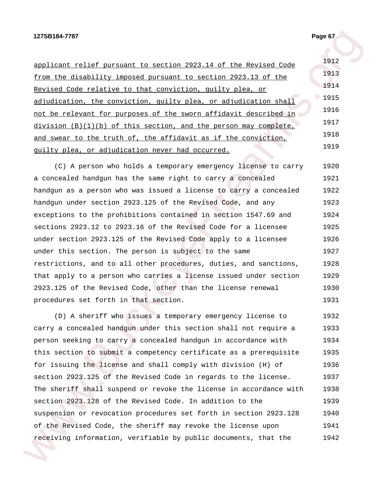| applicant relief pursuant to section 2923.14 of the Revised Code  | 1912 |
|-------------------------------------------------------------------|------|
| from the disability imposed pursuant to section 2923.13 of the    | 1913 |
| Revised Code relative to that conviction, quilty plea, or         | 1914 |
| adjudication, the conviction, quilty plea, or adjudication shall  | 1915 |
| not be relevant for purposes of the sworn affidavit described in  | 1916 |
| $division(B)(1)(b)$ of this section, and the person may complete, | 1917 |
| and swear to the truth of, the affidavit as if the conviction,    | 1918 |
| quilty plea, or adjudication never had occurred.                  | 1919 |
|                                                                   |      |

(C) A person who holds a temporary emergency license to carry a concealed handgun has the same right to carry a concealed handgun as a person who was issued a license to carry a concealed handgun under section 2923.125 of the Revised Code, and any exceptions to the prohibitions contained in section 1547.69 and sections 2923.12 to 2923.16 of the Revised Code for a licensee under section 2923.125 of the Revised Code apply to a licensee under this section. The person is subject to the same restrictions, and to all other procedures, duties, and sanctions, that apply to a person who carries a license issued under section 2923.125 of the Revised Code, other than the license renewal procedures set forth in that section. 1920 1921 1922 1923 1924 1925 1926 1927 1928 1929 1930 1931 1278811447787<br>
empticant will emerge to action 2012.14 of the floation Code<br>
1797<br>
Committee distable the internet to active 2012.13 of the<br>
ISO 1882<br>
emergency content to the computation emergency in the 1882<br>
emission C

(D) A sheriff who issues a temporary emergency license to carry a concealed handgun under this section shall not require a person seeking to carry a concealed handgun in accordance with this section to submit a competency certificate as a prerequisite for issuing the license and shall comply with division (H) of section 2923.125 of the Revised Code in regards to the license. The sheriff shall suspend or revoke the license in accordance with section 2923.128 of the Revised Code. In addition to the suspension or revocation procedures set forth in section 2923.128 of the Revised Code, the sheriff may revoke the license upon receiving information, verifiable by public documents, that the 1932 1933 1934 1935 1936 1937 1938 1939 1940 1941 1942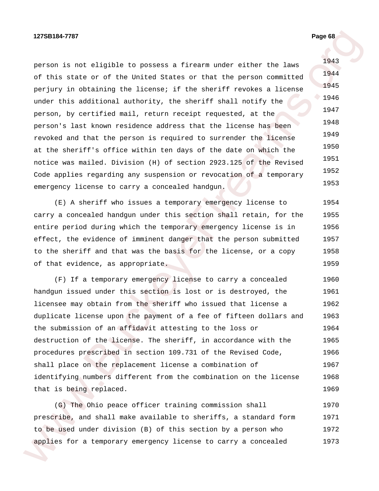person is not eligible to possess a firearm under either the laws of this state or of the United States or that the person committed perjury in obtaining the license; if the sheriff revokes a license under this additional authority, the sheriff shall notify the person, by certified mail, return receipt requested, at the person's last known residence address that the license has been revoked and that the person is required to surrender the license at the sheriff's office within ten days of the date on which the notice was mailed. Division (H) of section 2923.125 of the Revised Code applies regarding any suspension or revocation of a temporary emergency license to carry a concealed handgun. 1943 1944 1945 1946 1947 1948 1949 1950 1951 1952 1953 **1278811447797**<br>
Proposal is not aligning to possess a five-communder either the lower 1984<br>
person is not aligning to (Loeman is the mentilit revolves a loeman 1984<br>
persony in ottaching to (Loeman is the mentilit revolv

(E) A sheriff who issues a temporary emergency license to carry a concealed handgun under this section shall retain, for the entire period during which the temporary emergency license is in effect, the evidence of imminent danger that the person submitted to the sheriff and that was the basis for the license, or a copy of that evidence, as appropriate. 1954 1955 1956 1957 1958 1959

(F) If a temporary emergency license to carry a concealed handgun issued under this section is lost or is destroyed, the licensee may obtain from the sheriff who issued that license a duplicate license upon the payment of a fee of fifteen dollars and the submission of an affidavit attesting to the loss or destruction of the license. The sheriff, in accordance with the procedures prescribed in section 109.731 of the Revised Code, shall place on the replacement license a combination of identifying numbers different from the combination on the license that is being replaced. 1960 1961 1962 1963 1964 1965 1966 1967 1968 1969

(G) The Ohio peace officer training commission shall prescribe, and shall make available to sheriffs, a standard form to be used under division (B) of this section by a person who applies for a temporary emergency license to carry a concealed 1970 1971 1972 1973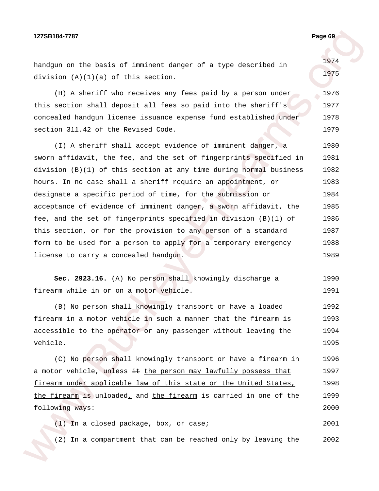handgun on the basis of imminent danger of a type described in division (A)(1)(a) of this section.

(H) A sheriff who receives any fees paid by a person under this section shall deposit all fees so paid into the sheriff's concealed handgun license issuance expense fund established under section 311.42 of the Revised Code. 1976 1977 1979

(I) A sheriff shall accept evidence of imminent danger, a sworn affidavit, the fee, and the set of fingerprints specified in division (B)(1) of this section at any time during normal business hours. In no case shall a sheriff require an appointment, or designate a specific period of time, for the submission or acceptance of evidence of imminent danger, a sworn affidavit, the fee, and the set of fingerprints specified in division (B)(1) of this section, or for the provision to any person of a standard form to be used for a person to apply for a temporary emergency license to carry a concealed handgun. 1980 1981 1982 1983 1984 1985 1986 1987 1988 1989 127881947787 Page 68<br>
Innegium on the basis of institute ecliptic in the section of a type concrition in TSY4<br>
(Ivision IX:11)(e) of this section any team paid by a person under<br>
the concerns and the vector and interactio

**Sec. 2923.16.** (A) No person shall knowingly discharge a firearm while in or on a motor vehicle. 1990 1991

(B) No person shall knowingly transport or have a loaded firearm in a motor vehicle in such a manner that the firearm is accessible to the operator or any passenger without leaving the vehicle. 1992 1993 1994 1995

(C) No person shall knowingly transport or have a firearm in a motor vehicle, unless  $\pm\epsilon$  the person may lawfully possess that firearm under applicable law of this state or the United States, the firearm is unloaded, and the firearm is carried in one of the following ways: 1996 1997 1998 1999 2000

(1) In a closed package, box, or case; 2001

(2) In a compartment that can be reached only by leaving the 2002

1975

1974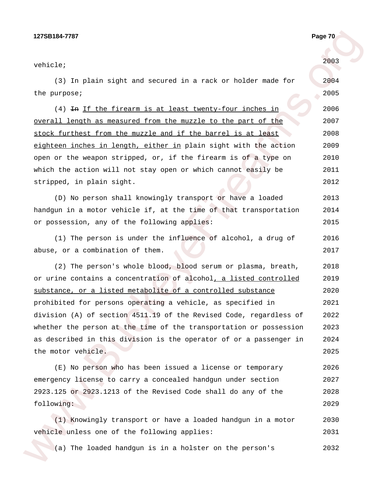| 127SB184-7787                                                      | Page 70 |
|--------------------------------------------------------------------|---------|
| vehicle;                                                           | 2003    |
|                                                                    |         |
| (3) In plain sight and secured in a rack or holder made for        | 2004    |
| the purpose;                                                       | 2005    |
| (4) <del>In</del> If the firearm is at least twenty-four inches in | 2006    |
| overall length as measured from the muzzle to the part of the      | 2007    |
| stock furthest from the muzzle and if the barrel is at least       | 2008    |
| eighteen inches in length, either in plain sight with the action   | 2009    |
| open or the weapon stripped, or, if the firearm is of a type on    | 2010    |
| which the action will not stay open or which cannot easily be      | 2011    |
| stripped, in plain sight.                                          | 2012    |
| (D) No person shall knowingly transport or have a loaded           | 2013    |
| handgun in a motor vehicle if, at the time of that transportation  | 2014    |
| or possession, any of the following applies:                       | 2015    |
| (1) The person is under the influence of alcohol, a drug of        | 2016    |
| abuse, or a combination of them.                                   | 2017    |
| (2) The person's whole blood, blood serum or plasma, breath,       | 2018    |
| or urine contains a concentration of alcohol, a listed controlled  | 2019    |
| substance, or a listed metabolite of a controlled substance        | 2020    |
| prohibited for persons operating a vehicle, as specified in        | 2021    |
| division (A) of section 4511.19 of the Revised Code, regardless of | 2022    |
| whether the person at the time of the transportation or possession | 2023    |
| as described in this division is the operator of or a passenger in | 2024    |
| the motor vehicle.                                                 | 2025    |
| (E) No person who has been issued a license or temporary           | 2026    |
| emergency license to carry a concealed handgun under section       | 2027    |
| 2923.125 or 2923.1213 of the Revised Code shall do any of the      | 2028    |
| following:                                                         | 2029    |
| (1) Knowingly transport or have a loaded handgun in a motor        | 2030    |
| vehicle unless one of the following applies:                       | 2031    |
| (a) The loaded handgun is in a holster on the person's             | 2032    |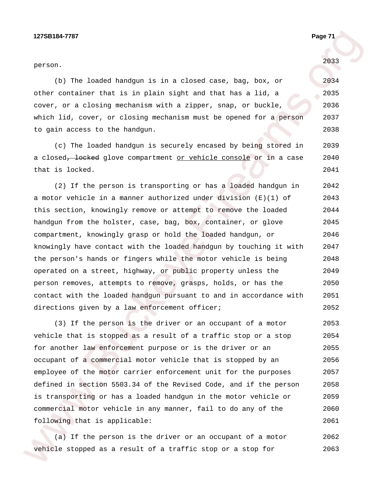### person.

(b) The loaded handgun is in a closed case, bag, box, or other container that is in plain sight and that has a lid, a cover, or a closing mechanism with a zipper, snap, or buckle, which lid, cover, or closing mechanism must be opened for a person to gain access to the handgun. 2034 2035 2036 2037 2038

(c) The loaded handgun is securely encased by being stored in a closed, locked glove compartment or vehicle console or in a case that is locked. 2039 2040 2041

(2) If the person is transporting or has a loaded handgun in a motor vehicle in a manner authorized under division (E)(1) of this section, knowingly remove or attempt to remove the loaded handgun from the holster, case, bag, box, container, or glove compartment, knowingly grasp or hold the loaded handgun, or knowingly have contact with the loaded handgun by touching it with the person's hands or fingers while the motor vehicle is being operated on a street, highway, or public property unless the person removes, attempts to remove, grasps, holds, or has the contact with the loaded handgun pursuant to and in accordance with directions given by a law enforcement officer; 2042 2043 2044 2045 2046 2047 2048 2049 2050 2051 2052 127381947797<br>
persons. 72891<br>
(o) The loaded handgun is it a closed dase, bag, box, or<br>
corrections that is in given signit and that has has a 1d, s<br>
correction control in given and the property among a 1d, s<br>
which is co

(3) If the person is the driver or an occupant of a motor vehicle that is stopped as a result of a traffic stop or a stop for another law enforcement purpose or is the driver or an occupant of a commercial motor vehicle that is stopped by an employee of the motor carrier enforcement unit for the purposes defined in section 5503.34 of the Revised Code, and if the person is transporting or has a loaded handgun in the motor vehicle or commercial motor vehicle in any manner, fail to do any of the following that is applicable: 2053 2054 2055 2056 2057 2058 2059 2060 2061

(a) If the person is the driver or an occupant of a motor vehicle stopped as a result of a traffic stop or a stop for 2062 2063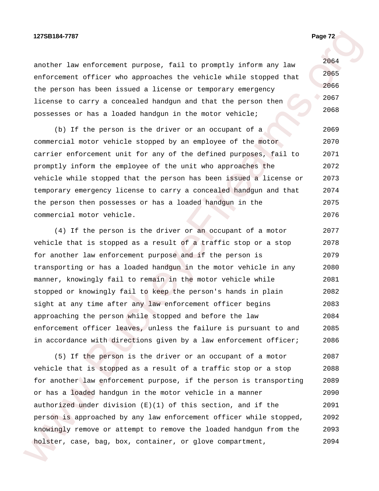another law enforcement purpose, fail to promptly inform any law enforcement officer who approaches the vehicle while stopped that the person has been issued a license or temporary emergency license to carry a concealed handgun and that the person then possesses or has a loaded handgun in the motor vehicle;

(b) If the person is the driver or an occupant of a commercial motor vehicle stopped by an employee of the motor carrier enforcement unit for any of the defined purposes, fail to promptly inform the employee of the unit who approaches the vehicle while stopped that the person has been issued a license or temporary emergency license to carry a concealed handgun and that the person then possesses or has a loaded handgun in the commercial motor vehicle. 2069 2070 2071 2072 2073 2074 2075 2076

(4) If the person is the driver or an occupant of a motor vehicle that is stopped as a result of a traffic stop or a stop for another law enforcement purpose and if the person is transporting or has a loaded handgun in the motor vehicle in any manner, knowingly fail to remain in the motor vehicle while stopped or knowingly fail to keep the person's hands in plain sight at any time after any law enforcement officer begins approaching the person while stopped and before the law enforcement officer leaves, unless the failure is pursuant to and in accordance with directions given by a law enforcement officer; 2077 2078 2079 2080 2081 2082 2083 2084 2085 2086 **1278811447787**<br>
Weaker law encoronment purpose, tail to promptly infrom any law<br>
encode comes controlled with the promption and the scale of the person of the person of Scale and A dicense or temporary energency<br>
The per

(5) If the person is the driver or an occupant of a motor vehicle that is stopped as a result of a traffic stop or a stop for another law enforcement purpose, if the person is transporting or has a loaded handgun in the motor vehicle in a manner authorized under division (E)(1) of this section, and if the person is approached by any law enforcement officer while stopped, knowingly remove or attempt to remove the loaded handgun from the holster, case, bag, box, container, or glove compartment, 2087 2088 2089 2090 2091 2092 2093 2094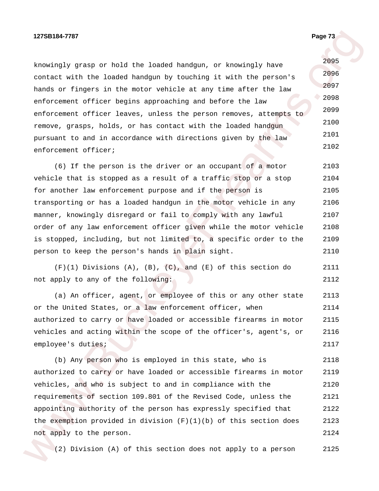knowingly grasp or hold the loaded handgun, or knowingly have contact with the loaded handgun by touching it with the person's hands or fingers in the motor vehicle at any time after the law enforcement officer begins approaching and before the law enforcement officer leaves, unless the person removes, attempts to remove, grasps, holds, or has contact with the loaded handgun pursuant to and in accordance with directions given by the law enforcement officer; 2095 2096 2097 2098 2099 2100 2101 2102

(6) If the person is the driver or an occupant of a motor vehicle that is stopped as a result of a traffic stop or a stop for another law enforcement purpose and if the person is transporting or has a loaded handgun in the motor vehicle in any manner, knowingly disregard or fail to comply with any lawful order of any law enforcement officer given while the motor vehicle is stopped, including, but not limited to, a specific order to the person to keep the person's hands in plain sight. 2103 2104 2105 2106 2107 2108 2109 2110 **127881847787**<br>
Wenderly group or halo the located handgon, or invorting y have<br>
contact will the located campagn or (totally it will control in the person)<br>
contact will the motor verticle at eny time atter the law<br>
cont

 $(F)(1)$  Divisions  $(A)$ ,  $(B)$ ,  $(C)$ , and  $(E)$  of this section do not apply to any of the following: 2111 2112

(a) An officer, agent, or employee of this or any other state or the United States, or a law enforcement officer, when authorized to carry or have loaded or accessible firearms in motor vehicles and acting within the scope of the officer's, agent's, or employee's duties; 2113 2114 2115 2116 2117

(b) Any person who is employed in this state, who is authorized to carry or have loaded or accessible firearms in motor vehicles, and who is subject to and in compliance with the requirements of section 109.801 of the Revised Code, unless the appointing authority of the person has expressly specified that the exemption provided in division  $(F)(1)(b)$  of this section does not apply to the person. 2118 2119 2120 2121 2122 2123 2124

(2) Division (A) of this section does not apply to a person 2125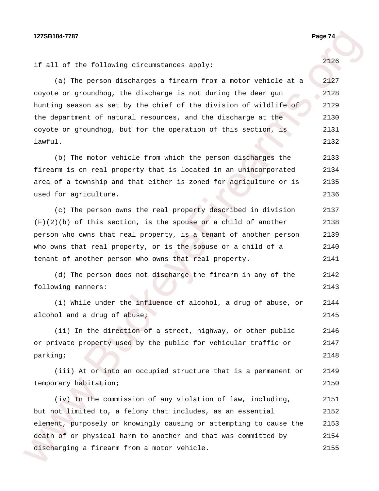| 127SB184-7787                                                      | Page 74 |
|--------------------------------------------------------------------|---------|
|                                                                    | 2126    |
| if all of the following circumstances apply:                       |         |
| (a) The person discharges a firearm from a motor vehicle at a      | 2127    |
| coyote or groundhog, the discharge is not during the deer gun      | 2128    |
| hunting season as set by the chief of the division of wildlife of  | 2129    |
| the department of natural resources, and the discharge at the      | 2130    |
| coyote or groundhog, but for the operation of this section, is     | 2131    |
| lawful.                                                            | 2132    |
| (b) The motor vehicle from which the person discharges the         | 2133    |
| firearm is on real property that is located in an unincorporated   | 2134    |
| area of a township and that either is zoned for agriculture or is  | 2135    |
| used for agriculture.                                              | 2136    |
| (c) The person owns the real property described in division        | 2137    |
| $(F)(2)(b)$ of this section, is the spouse or a child of another   | 2138    |
| person who owns that real property, is a tenant of another person  | 2139    |
| who owns that real property, or is the spouse or a child of a      | 2140    |
| tenant of another person who owns that real property.              | 2141    |
| (d) The person does not discharge the firearm in any of the        | 2142    |
| following manners:                                                 | 2143    |
| (i) While under the influence of alcohol, a drug of abuse, or      | 2144    |
| alcohol and a drug of abuse;                                       | 2145    |
| (ii) In the direction of a street, highway, or other public        | 2146    |
| or private property used by the public for vehicular traffic or    | 2147    |
| parking;                                                           | 2148    |
| (iii) At or into an occupied structure that is a permanent or      | 2149    |
| temporary habitation;                                              | 2150    |
|                                                                    |         |
| (iv) In the commission of any violation of law, including,         | 2151    |
| but not limited to, a felony that includes, as an essential        | 2152    |
| element, purposely or knowingly causing or attempting to cause the | 2153    |
| death of or physical harm to another and that was committed by     | 2154    |
| discharging a firearm from a motor vehicle.                        | 2155    |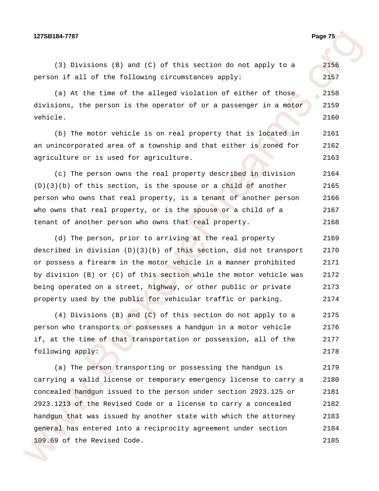(3) Divisions (B) and (C) of this section do not apply to a person if all of the following circumstances apply: 2156 2157

(a) At the time of the alleged violation of either of those divisions, the person is the operator of or a passenger in a motor vehicle. 2158 2159 2160

(b) The motor vehicle is on real property that is located in an unincorporated area of a township and that either is zoned for agriculture or is used for agriculture. 2161 2162 2163

(c) The person owns the real property described in division (D)(3)(b) of this section, is the spouse or a child of another person who owns that real property, is a tenant of another person who owns that real property, or is the spouse or a child of a tenant of another person who owns that real property. 2164 2165 2166 2167 2168

(d) The person, prior to arriving at the real property described in division (D)(3)(b) of this section, did not transport or possess a firearm in the motor vehicle in a manner prohibited by division (B) or (C) of this section while the motor vehicle was being operated on a street, highway, or other public or private property used by the public for vehicular traffic or parking. 2169 2170 2171 2172 2173 2174

(4) Divisions (B) and (C) of this section do not apply to a person who transports or possesses a handgun in a motor vehicle if, at the time of that transportation or possession, all of the following apply: 2175 2176 2177 2178

(a) The person transporting or possessing the handgun is carrying a valid license or temporary emergency license to carry a concealed handgun issued to the person under section 2923.125 or 2923.1213 of the Revised Code or a license to carry a concealed handgun that was issued by another state with which the attorney general has entered into a reciprocity agreement under section 109.69 of the Revised Code. 2179 2180 2181 2182 2183 2184 2185 **1275811447787**<br>
(3) Trutations (R1 and 10) or this accetive do not agaly to a<br>
17138<br>
person if all of the collocions closured whose apply:<br>
(3) Trutations, the person is bis operator of the article of the<br>
divisions, th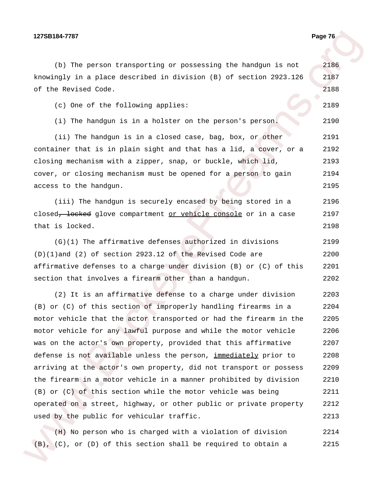(b) The person transporting or possessing the handgun is not knowingly in a place described in division (B) of section 2923.126 of the Revised Code. 2186 2187 2188

(c) One of the following applies: 2189

(i) The handgun is in a holster on the person's person. 2190

(ii) The handgun is in a closed case, bag, box, or other container that is in plain sight and that has a lid, a cover, or a closing mechanism with a zipper, snap, or buckle, which lid, cover, or closing mechanism must be opened for a person to gain access to the handgun. 2191 2192 2193 2194 2195

(iii) The handgun is securely encased by being stored in a closed, locked glove compartment or vehicle console or in a case that is locked. 2196 2197 2198

(G)(1) The affirmative defenses authorized in divisions (D)(1)and (2) of section 2923.12 of the Revised Code are affirmative defenses to a charge under division (B) or (C) of this section that involves a firearm other than a handgun. 2199 2200 2201 2202

(2) It is an affirmative defense to a charge under division (B) or (C) of this section of improperly handling firearms in a motor vehicle that the actor transported or had the firearm in the motor vehicle for any lawful purpose and while the motor vehicle was on the actor's own property, provided that this affirmative defense is not available unless the person, immediately prior to arriving at the actor's own property, did not transport or possess the firearm in a motor vehicle in a manner prohibited by division (B) or (C) of this section while the motor vehicle was being operated on a street, highway, or other public or private property used by the public for vehicular traffic. 2203 2204 2205 2206 2207 2208 2209 2210 2211 2212 2213 **127881847787**<br>
(a) The parson brane<br>particle of promovable transfer the hardon for the 2788<br>
(c) the particle of excition in division folicies decision 2073.128<br>
(c) Ome of the following applicant<br>
(i) The handput is in

(H) No person who is charged with a violation of division (B), (C), or (D) of this section shall be required to obtain a 2214 2215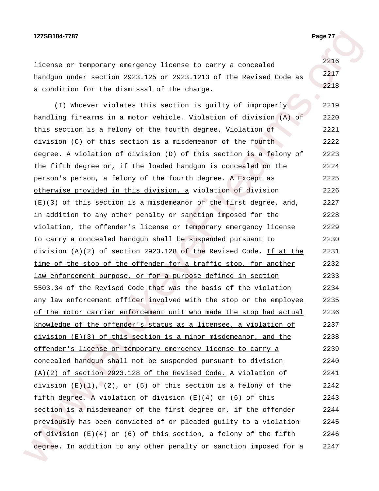license or temporary emergency license to carry a concealed handgun under section 2923.125 or 2923.1213 of the Revised Code as a condition for the dismissal of the charge. 2216 2217 2218

(I) Whoever violates this section is guilty of improperly handling firearms in a motor vehicle. Violation of division (A) of this section is a felony of the fourth degree. Violation of division (C) of this section is a misdemeanor of the fourth degree. A violation of division (D) of this section is a felony of the fifth degree or, if the loaded handgun is concealed on the person's person, a felony of the fourth degree. A Except as otherwise provided in this division, a violation of division (E)(3) of this section is a misdemeanor of the first degree, and, in addition to any other penalty or sanction imposed for the violation, the offender's license or temporary emergency license to carry a concealed handgun shall be suspended pursuant to division  $(A)(2)$  of section 2923.128 of the Revised Code. If at the time of the stop of the offender for a traffic stop, for another law enforcement purpose, or for a purpose defined in section 5503.34 of the Revised Code that was the basis of the violation any law enforcement officer involved with the stop or the employee of the motor carrier enforcement unit who made the stop had actual knowledge of the offender's status as a licensee, a violation of  $division$  (E)(3) of this section is a minor misdemeanor, and the offender's license or temporary emergency license to carry a concealed handgun shall not be suspended pursuant to division (A)(2) of section 2923.128 of the Revised Code. A violation of division  $(E)(1)$ ,  $(2)$ , or  $(5)$  of this section is a felony of the fifth degree. A violation of division  $(E)(4)$  or  $(6)$  of this section is a misdemeanor of the first degree or, if the offender previously has been convicted of or pleaded guilty to a violation of division (E)(4) or (6) of this section, a felony of the fifth degree. In addition to any other penalty or sanction imposed for a 2219 2220 2221 2222 2223 2224 2225 2226 2227 2228 2229 2230 2231 2232 2233 2234 2235 2236 2237 2238 2239 2240 2241 2242 2243 2244 2245 2246 2247 127881947787 Page 77 (1979) there is carry a concealed  $223$ <br>
handour under section 2223.133 or 2323.132 or 110 clusters of the Nutrice Chief scheme of the Nutrice Chief scheme of the Nutrice Chief scheme of the Scheme of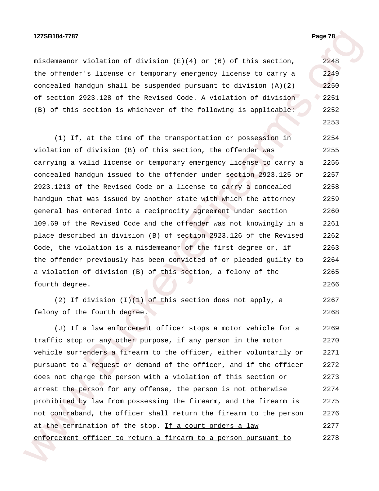misdemeanor violation of division  $(E)(4)$  or  $(6)$  of this section, the offender's license or temporary emergency license to carry a concealed handgun shall be suspended pursuant to division  $(A)(2)$ of section 2923.128 of the Revised Code. A violation of division (B) of this section is whichever of the following is applicable:

(1) If, at the time of the transportation or possession in violation of division (B) of this section, the offender was carrying a valid license or temporary emergency license to carry a concealed handgun issued to the offender under section 2923.125 or 2923.1213 of the Revised Code or a license to carry a concealed handgun that was issued by another state with which the attorney general has entered into a reciprocity agreement under section 109.69 of the Revised Code and the offender was not knowingly in a place described in division (B) of section 2923.126 of the Revised Code, the violation is a misdemeanor of the first degree or, if the offender previously has been convicted of or pleaded guilty to a violation of division (B) of this section, a felony of the fourth degree. 2254 2255 2256 2257 2258 2259 2260 2261 2262 2263 2264 2265 2266 **1278811447797**<br> **Page 78**<br>
missions-son violation of division (R1.41 or (8) of this acctom,<br>
27888<br>
concested handges excited a suspectively increase to catary a<br>
concested handges excited once a violation of division of

(2) If division  $(I)(1)$  of this section does not apply, a felony of the fourth degree. 2267 2268

(J) If a law enforcement officer stops a motor vehicle for a traffic stop or any other purpose, if any person in the motor vehicle surrenders a firearm to the officer, either voluntarily or pursuant to a request or demand of the officer, and if the officer does not charge the person with a violation of this section or arrest the person for any offense, the person is not otherwise prohibited by law from possessing the firearm, and the firearm is not contraband, the officer shall return the firearm to the person at the termination of the stop. If a court orders a law enforcement officer to return a firearm to a person pursuant to 2269 2270 2271 2272 2273 2274 2275 2276 2277 2278

2250 2251

2252

2253

2248 2249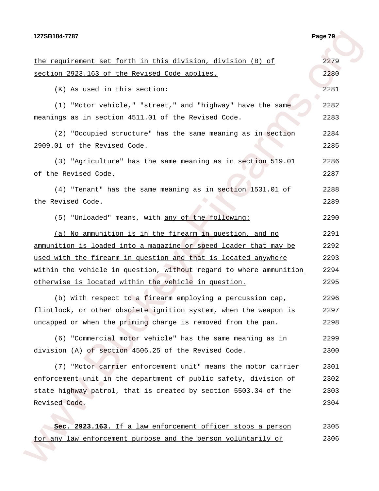| 127SB184-7787                                                      | Page 79 |
|--------------------------------------------------------------------|---------|
| the requirement set forth in this division, division (B) of        | 2279    |
| section 2923.163 of the Revised Code applies.                      | 2280    |
| (K) As used in this section:                                       | 2281    |
| (1) "Motor vehicle," "street," and "highway" have the same         | 2282    |
| meanings as in section 4511.01 of the Revised Code.                | 2283    |
| (2) "Occupied structure" has the same meaning as in section        | 2284    |
| 2909.01 of the Revised Code.                                       | 2285    |
|                                                                    |         |
| (3) "Agriculture" has the same meaning as in section 519.01        | 2286    |
| of the Revised Code.                                               | 2287    |
| (4) "Tenant" has the same meaning as in section 1531.01 of         | 2288    |
| the Revised Code.                                                  | 2289    |
| (5) "Unloaded" means, with any of the following:                   | 2290    |
| (a) No ammunition is in the firearm in question, and no            | 2291    |
| ammunition is loaded into a magazine or speed loader that may be   | 2292    |
| used with the firearm in question and that is located anywhere     | 2293    |
| within the vehicle in question, without regard to where ammunition | 2294    |
| otherwise is located within the vehicle in question.               | 2295    |
| (b) With respect to a firearm employing a percussion cap,          | 2296    |
| flintlock, or other obsolete ignition system, when the weapon is   | 2297    |
| uncapped or when the priming charge is removed from the pan.       | 2298    |
| (6) "Commercial motor vehicle" has the same meaning as in          | 2299    |
| division (A) of section 4506.25 of the Revised Code.               | 2300    |
| (7) "Motor carrier enforcement unit" means the motor carrier       | 2301    |
| enforcement unit in the department of public safety, division of   | 2302    |
| state highway patrol, that is created by section 5503.34 of the    | 2303    |
| Revised Code.                                                      | 2304    |
|                                                                    |         |
| sec. 2923.163. If a law enforcement officer stops a person         | 2305    |
| for any law enforcement purpose and the person voluntarily or      | 2306    |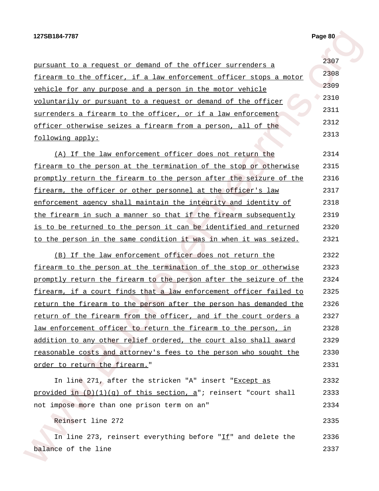| 127SB184-7787                                                      | Page 80 |
|--------------------------------------------------------------------|---------|
|                                                                    |         |
| pursuant to a request or demand of the officer surrenders a        | 2307    |
| firearm to the officer, if a law enforcement officer stops a motor | 2308    |
| vehicle for any purpose and a person in the motor vehicle          | 2309    |
| voluntarily or pursuant to a request or demand of the officer      | 2310    |
| surrenders a firearm to the officer, or if a law enforcement       | 2311    |
| officer otherwise seizes a firearm from a person, all of the       | 2312    |
| following apply:                                                   | 2313    |
| (A) If the law enforcement officer does not return the             | 2314    |
| firearm to the person at the termination of the stop or otherwise  | 2315    |
| promptly return the firearm to the person after the seizure of the | 2316    |
| firearm, the officer or other personnel at the officer's law       | 2317    |
| enforcement agency shall maintain the integrity and identity of    | 2318    |
| the firearm in such a manner so that if the firearm subsequently   | 2319    |
| is to be returned to the person it can be identified and returned  | 2320    |
| to the person in the same condition it was in when it was seized.  | 2321    |
| (B) If the law enforcement officer does not return the             | 2322    |
| firearm to the person at the termination of the stop or otherwise  | 2323    |
| promptly return the firearm to the person after the seizure of the | 2324    |
| firearm, if a court finds that a law enforcement officer failed to | 2325    |
| return the firearm to the person after the person has demanded the | 2326    |
| return of the firearm from the officer, and if the court orders a  | 2327    |
| law enforcement officer to return the firearm to the person, in    | 2328    |
| addition to any other relief ordered, the court also shall award   | 2329    |
| reasonable costs and attorney's fees to the person who sought the  | 2330    |
| order to return the firearm."                                      | 2331    |
| In line 271, after the stricken "A" insert "Except as              | 2332    |
| provided in $(D)(1)(q)$ of this section, a"; reinsert "court shall | 2333    |
| not impose more than one prison term on an"                        | 2334    |
| Reinsert line 272                                                  | 2335    |
| In line 273, reinsert everything before "If" and delete the        | 2336    |
| balance of the line                                                | 2337    |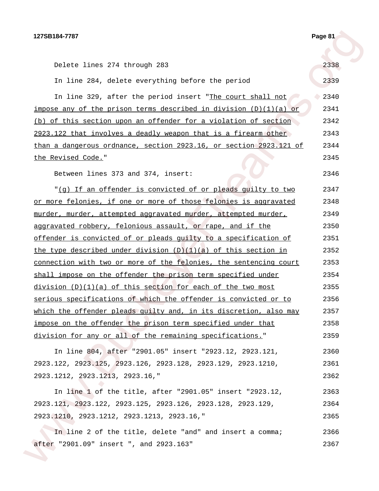| 127SB184-7787                                                       | Page 81 |
|---------------------------------------------------------------------|---------|
|                                                                     |         |
| Delete lines 274 through 283                                        | 2338    |
| In line 284, delete everything before the period                    | 2339    |
| In line 329, after the period insert "The court shall not           | 2340    |
| impose any of the prison terms described in division $(D)(1)(a)$ or | 2341    |
| (b) of this section upon an offender for a violation of section     | 2342    |
| 2923.122 that involves a deadly weapon that is a firearm other      | 2343    |
| than a dangerous ordnance, section 2923.16, or section 2923.121 of  | 2344    |
| the Revised Code."                                                  | 2345    |
| Between lines 373 and 374, insert:                                  | 2346    |
| "(g) If an offender is convicted of or pleads quilty to two         | 2347    |
| or more felonies, if one or more of those felonies is aggravated    | 2348    |
| murder, murder, attempted aggravated murder, attempted murder,      | 2349    |
| aggravated robbery, felonious assault, or rape, and if the          | 2350    |
| offender is convicted of or pleads guilty to a specification of     | 2351    |
| the type described under division $(D)(1)(a)$ of this section in    | 2352    |
| connection with two or more of the felonies, the sentencing court   | 2353    |
| shall impose on the offender the prison term specified under        | 2354    |
| $division (D)(1)(a) of this section for each of the two most$       | 2355    |
| serious specifications of which the offender is convicted or to     | 2356    |
| which the offender pleads quilty and, in its discretion, also may   | 2357    |
| impose on the offender the prison term specified under that         | 2358    |
| division for any or all of the remaining specifications."           | 2359    |
| In line 804, after "2901.05" insert "2923.12, 2923.121,             | 2360    |
| 2923.122, 2923.125, 2923.126, 2923.128, 2923.129, 2923.1210,        | 2361    |
| 2923.1212, 2923.1213, 2923.16,"                                     | 2362    |
| In line 1 of the title, after $"2901.05"$ insert $"2923.12$ ,       | 2363    |
| 2923.121, 2923.122, 2923.125, 2923.126, 2923.128, 2923.129,         | 2364    |
| 2923.1210, 2923.1212, 2923.1213, 2923.16,"                          | 2365    |
| In line 2 of the title, delete "and" and insert a comma;            | 2366    |
| after "2901.09" insert ", and 2923.163"                             | 2367    |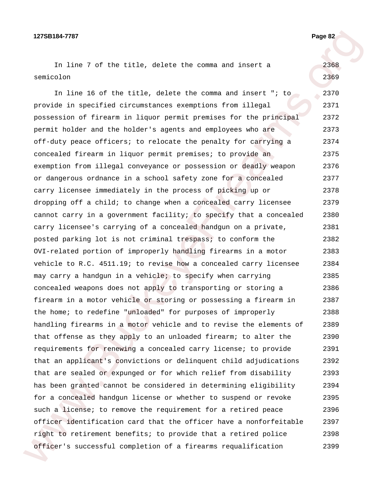2368 2369

In line 7 of the title, delete the comma and insert a semicolon

In line 16 of the title, delete the comma and insert "; to provide in specified circumstances exemptions from illegal possession of firearm in liquor permit premises for the principal permit holder and the holder's agents and employees who are off-duty peace officers; to relocate the penalty for carrying a concealed firearm in liquor permit premises; to provide an exemption from illegal conveyance or possession or deadly weapon or dangerous ordnance in a school safety zone for a concealed carry licensee immediately in the process of picking up or dropping off a child; to change when a concealed carry licensee cannot carry in a government facility; to specify that a concealed carry licensee's carrying of a concealed handgun on a private, posted parking lot is not criminal trespass; to conform the OVI-related portion of improperly handling firearms in a motor vehicle to R.C. 4511.19; to revise how a concealed carry licensee may carry a handgun in a vehicle; to specify when carrying concealed weapons does not apply to transporting or storing a firearm in a motor vehicle or storing or possessing a firearm in the home; to redefine "unloaded" for purposes of improperly handling firearms in a motor vehicle and to revise the elements of that offense as they apply to an unloaded firearm; to alter the requirements for renewing a concealed carry license; to provide that an applicant's convictions or delinquent child adjudications that are sealed or expunged or for which relief from disability has been granted cannot be considered in determining eligibility for a concealed handgun license or whether to suspend or revoke such a license; to remove the requirement for a retired peace officer identification card that the officer have a nonforfeitable right to retirement benefits; to provide that a retired police officer's successful completion of a firearms requalification 2370 2371 2372 2373 2374 2375 2376 2377 2378 2379 2380 2381 2382 2383 2384 2385 2386 2387 2388 2389 2390 2391 2392 2393 2394 2395 2396 2397 2398 2399 127881947797 Page 82<br>
The 12 of the 11 of the child, delete the commo and fractric a<br>
sectionion<br>
The 11 of the child, delete the commo and fractric is a result of<br>
provide in appearing determining the common and showing